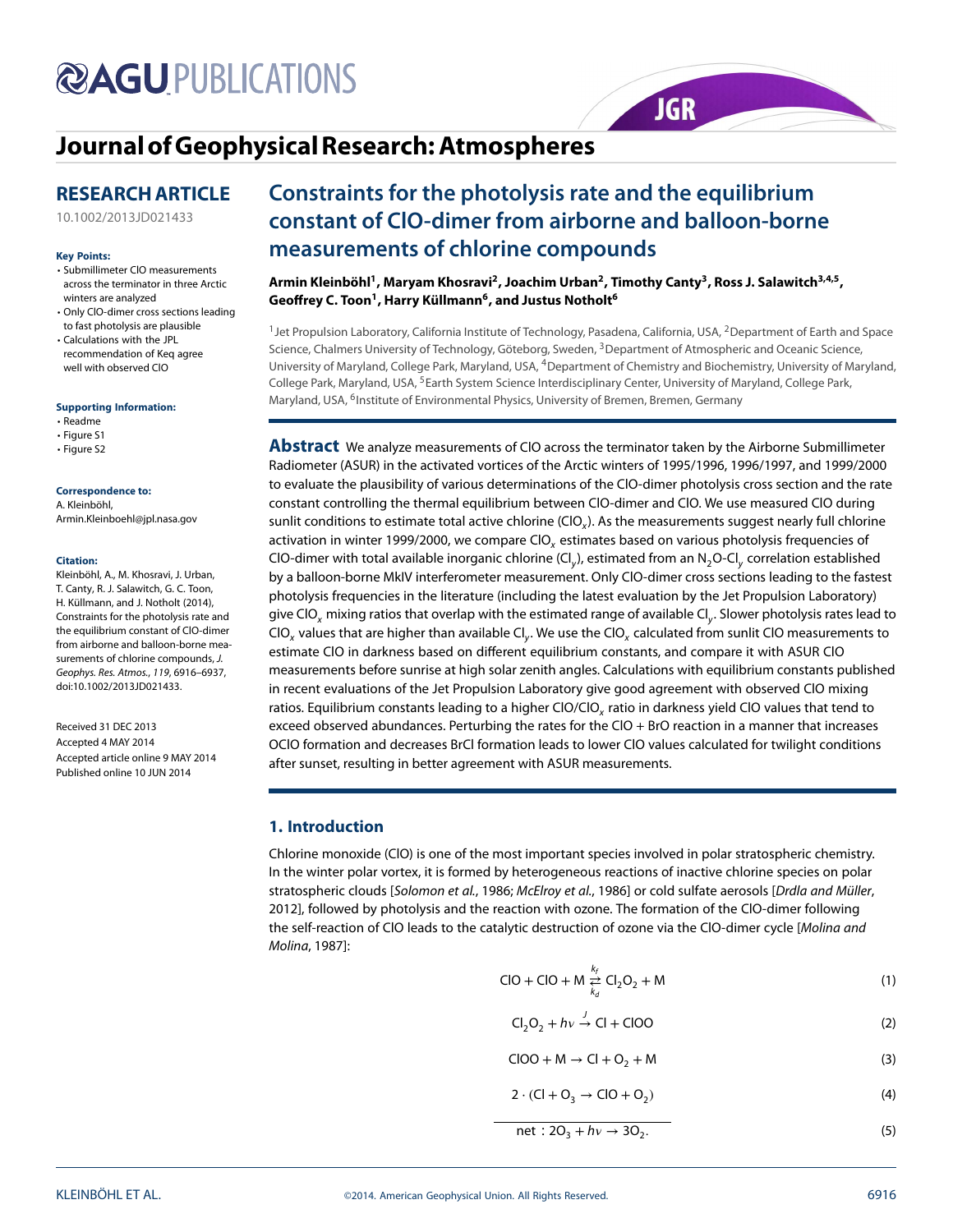# **@AGUPUBLICATIONS**

## **[Journal ofGeophysicalResearch: Atmospheres](http://onlinelibrary.wiley.com/journal/10.1002/(ISSN)2169-8996)**

### **RESEARCH ARTICLE**

[10.1002/2013JD021433](http://dx.doi.org/10.1002/2013JD021433)

#### **Key Points:**

- Submillimeter ClO measurements across the terminator in three Arctic winters are analyzed
- Only ClO-dimer cross sections leading to fast photolysis are plausible
- Calculations with the JPL recommendation of Keq agree well with observed ClO

#### **Supporting Information:**

• Readme

- Figure S1
- Figure S2

#### **Correspondence to:**

A. Kleinböhl, Armin.Kleinboehl@jpl.nasa.gov

#### **Citation:**

Kleinböhl, A., M. Khosravi, J. Urban, T. Canty, R. J. Salawitch, G. C. Toon, H. Küllmann, and J. Notholt (2014), Constraints for the photolysis rate and the equilibrium constant of ClO-dimer from airborne and balloon-borne measurements of chlorine compounds, J. Geophys. Res. Atmos., 119, 6916–6937, doi:10.1002/2013JD021433.

Received 31 DEC 2013 Accepted 4 MAY 2014 Accepted article online 9 MAY 2014 Published online 10 JUN 2014

### **Constraints for the photolysis rate and the equilibrium constant of ClO-dimer from airborne and balloon-borne measurements of chlorine compounds**

**JGR** 

Armin Kleinböhl<sup>1</sup>, Maryam Khosravi<sup>2</sup>, Joachim Urban<sup>2</sup>, Timothy Canty<sup>3</sup>, Ross J. Salawitch<sup>3,4,5</sup>, Geoffrey C. Toon<sup>1</sup>, Harry Küllmann<sup>6</sup>, and Justus Notholt<sup>6</sup>

<sup>1</sup> Jet Propulsion Laboratory, California Institute of Technology, Pasadena, California, USA, <sup>2</sup>Department of Earth and Space Science, Chalmers University of Technology, Göteborg, Sweden, <sup>3</sup>Department of Atmospheric and Oceanic Science, University of Maryland, College Park, Maryland, USA, 4Department of Chemistry and Biochemistry, University of Maryland, College Park, Maryland, USA, <sup>5</sup>Earth System Science Interdisciplinary Center, University of Maryland, College Park, Maryland, USA, <sup>6</sup>Institute of Environmental Physics, University of Bremen, Bremen, Germany

**Abstract** We analyze measurements of ClO across the terminator taken by the Airborne Submillimeter Radiometer (ASUR) in the activated vortices of the Arctic winters of 1995/1996, 1996/1997, and 1999/2000 to evaluate the plausibility of various determinations of the ClO-dimer photolysis cross section and the rate constant controlling the thermal equilibrium between ClO-dimer and ClO. We use measured ClO during sunlit conditions to estimate total active chlorine (CIO<sub>x</sub>). As the measurements suggest nearly full chlorine activation in winter 1999/2000, we compare CIO<sub>x</sub> estimates based on various photolysis frequencies of CIO-dimer with total available inorganic chlorine (Cl<sub>v</sub>), estimated from an N<sub>2</sub>O-Cl<sub>y</sub> correlation established by a balloon-borne MkIV interferometer measurement. Only ClO-dimer cross sections leading to the fastest photolysis frequencies in the literature (including the latest evaluation by the Jet Propulsion Laboratory) give ClO<sub>x</sub> mixing ratios that overlap with the estimated range of available Cl<sub>y</sub>. Slower photolysis rates lead to ClO<sub>x</sub> values that are higher than available Cl<sub>y</sub>. We use the ClO<sub>x</sub> calculated from sunlit ClO measurements to estimate ClO in darkness based on different equilibrium constants, and compare it with ASUR ClO measurements before sunrise at high solar zenith angles. Calculations with equilibrium constants published in recent evaluations of the Jet Propulsion Laboratory give good agreement with observed ClO mixing ratios. Equilibrium constants leading to a higher CIO/CIO<sub>y</sub> ratio in darkness yield CIO values that tend to exceed observed abundances. Perturbing the rates for the ClO + BrO reaction in a manner that increases OClO formation and decreases BrCl formation leads to lower ClO values calculated for twilight conditions after sunset, resulting in better agreement with ASUR measurements.

### **1. Introduction**

Chlorine monoxide (ClO) is one of the most important species involved in polar stratospheric chemistry. In the winter polar vortex, it is formed by heterogeneous reactions of inactive chlorine species on polar stratospheric clouds [Solomon et al., 1986; McElroy et al., 1986] or cold sulfate aerosols [Drdla and Müller, 2012], followed by photolysis and the reaction with ozone. The formation of the ClO-dimer following the self-reaction of ClO leads to the catalytic destruction of ozone via the ClO-dimer cycle [Molina and Molina, 1987]:

<span id="page-0-1"></span>
$$
CIO + CIO + M \underset{k_d}{\overset{k_f}{\rightleftarrows}} Cl_2O_2 + M
$$
 (1)

<span id="page-0-0"></span>
$$
Cl_2O_2 + hv \xrightarrow{J} Cl + ClOO \tag{2}
$$

- $CIOO + M \rightarrow Cl + O_2 + M$  (3)
- $2 \cdot (CI + O_3 \rightarrow ClO + O_2)$  (4)

$$
net: 2O3 + h\nu \rightarrow 3O2.
$$
 (5)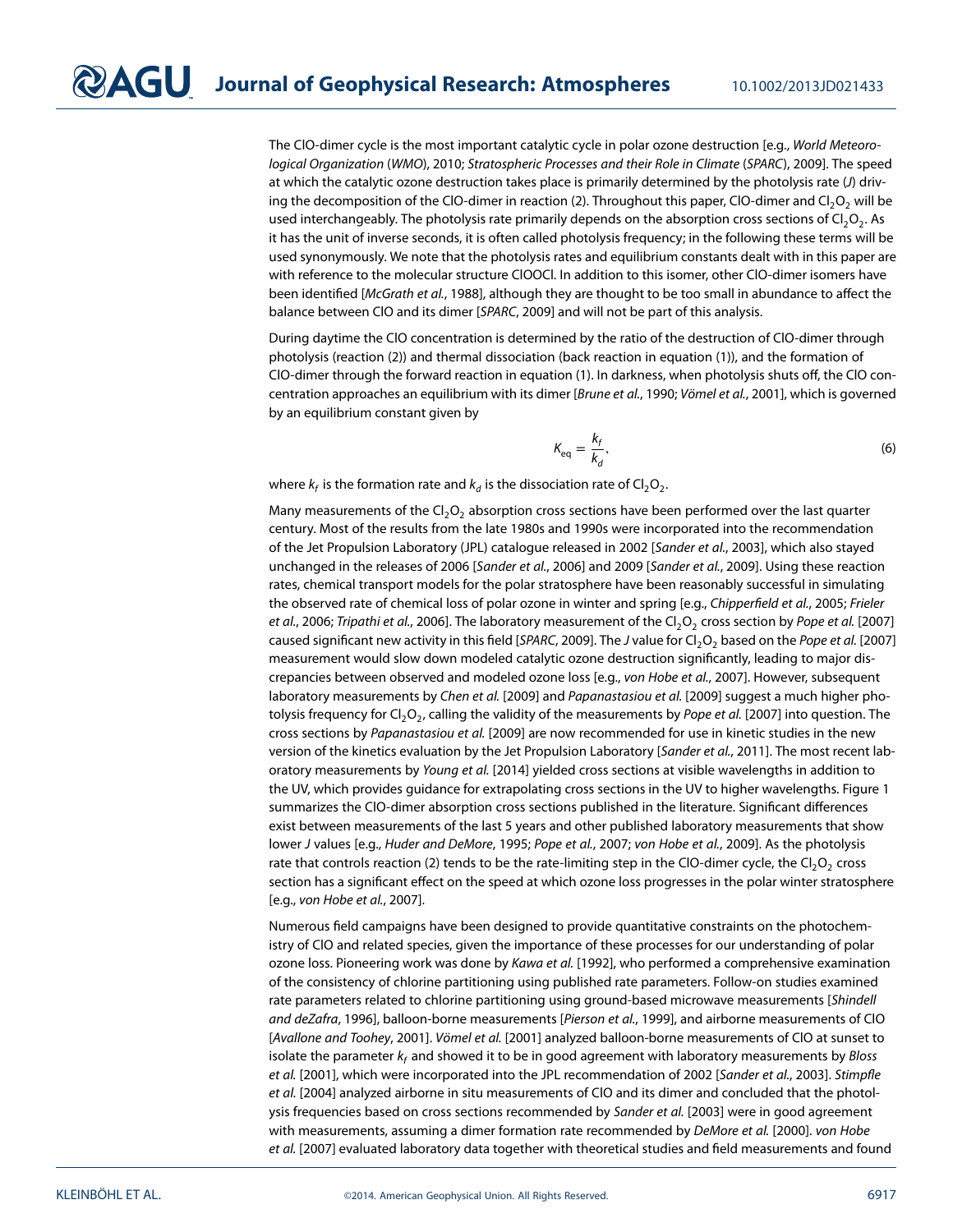The ClO-dimer cycle is the most important catalytic cycle in polar ozone destruction [e.g., World Meteorological Organization (WMO), 2010; Stratospheric Processes and their Role in Climate (SPARC), 2009]. The speed at which the catalytic ozone destruction takes place is primarily determined by the photolysis rate (J) driv-ing the decomposition of the CIO-dimer in reaction [\(2\)](#page-0-0). Throughout this paper, CIO-dimer and  $Cl_2O_2$  will be used interchangeably. The photolysis rate primarily depends on the absorption cross sections of  $Cl_2O_2$ . As it has the unit of inverse seconds, it is often called photolysis frequency; in the following these terms will be used synonymously. We note that the photolysis rates and equilibrium constants dealt with in this paper are with reference to the molecular structure ClOOCl. In addition to this isomer, other ClO-dimer isomers have been identified [McGrath et al., 1988], although they are thought to be too small in abundance to affect the balance between ClO and its dimer [SPARC, 2009] and will not be part of this analysis.

During daytime the ClO concentration is determined by the ratio of the destruction of ClO-dimer through photolysis (reaction [\(2\)](#page-0-0)) and thermal dissociation (back reaction in equation [\(1\)](#page-0-1)), and the formation of ClO-dimer through the forward reaction in equation [\(1\)](#page-0-1). In darkness, when photolysis shuts off, the ClO concentration approaches an equilibrium with its dimer [Brune et al., 1990; Vömel et al., 2001], which is governed by an equilibrium constant given by

$$
K_{\text{eq}} = \frac{k_f}{k_d},\tag{6}
$$

where  $k_f$  is the formation rate and  $k_d$  is the dissociation rate of Cl<sub>2</sub>O<sub>2</sub>.

Many measurements of the  $Cl<sub>2</sub>O<sub>2</sub>$  absorption cross sections have been performed over the last quarter century. Most of the results from the late 1980s and 1990s were incorporated into the recommendation of the Jet Propulsion Laboratory (JPL) catalogue released in 2002 [Sander et al., 2003], which also stayed unchanged in the releases of 2006 [Sander et al., 2006] and 2009 [Sander et al., 2009]. Using these reaction rates, chemical transport models for the polar stratosphere have been reasonably successful in simulating the observed rate of chemical loss of polar ozone in winter and spring [e.g., Chipperfield et al., 2005; Frieler et al., 2006; Tripathi et al., 2006]. The laboratory measurement of the Cl<sub>2</sub>O<sub>2</sub> cross section by Pope et al. [2007] caused significant new activity in this field [SPARC, 2009]. The J value for Cl<sub>2</sub>O<sub>2</sub> based on the Pope et al. [2007] measurement would slow down modeled catalytic ozone destruction significantly, leading to major discrepancies between observed and modeled ozone loss [e.g., von Hobe et al., 2007]. However, subsequent laboratory measurements by Chen et al. [2009] and Papanastasiou et al. [2009] suggest a much higher photolysis frequency for Cl<sub>2</sub>O<sub>2</sub>, calling the validity of the measurements by Pope et al. [2007] into question. The cross sections by Papanastasiou et al. [2009] are now recommended for use in kinetic studies in the new version of the kinetics evaluation by the Jet Propulsion Laboratory [Sander et al., 2011]. The most recent laboratory measurements by Young et al. [2014] yielded cross sections at visible wavelengths in addition to the UV, which provides guidance for extrapolating cross sections in the UV to higher wavelengths. Figure [1](#page-2-0) summarizes the ClO-dimer absorption cross sections published in the literature. Significant differences exist between measurements of the last 5 years and other published laboratory measurements that show lower J values [e.g., Huder and DeMore, 1995; Pope et al., 2007; von Hobe et al., 2009]. As the photolysis rate that controls reaction [\(2\)](#page-0-0) tends to be the rate-limiting step in the ClO-dimer cycle, the Cl<sub>2</sub>O<sub>2</sub> cross section has a significant effect on the speed at which ozone loss progresses in the polar winter stratosphere [e.g., von Hobe et al., 2007].

Numerous field campaigns have been designed to provide quantitative constraints on the photochemistry of ClO and related species, given the importance of these processes for our understanding of polar ozone loss. Pioneering work was done by Kawa et al. [1992], who performed a comprehensive examination of the consistency of chlorine partitioning using published rate parameters. Follow-on studies examined rate parameters related to chlorine partitioning using ground-based microwave measurements [Shindell and deZafra, 1996], balloon-borne measurements [Pierson et al., 1999], and airborne measurements of ClO [Avallone and Toohey, 2001]. Vömel et al. [2001] analyzed balloon-borne measurements of ClO at sunset to isolate the parameter  $k_f$  and showed it to be in good agreement with laboratory measurements by Bloss et al. [2001], which were incorporated into the JPL recommendation of 2002 [Sander et al., 2003]. Stimpfle et al. [2004] analyzed airborne in situ measurements of ClO and its dimer and concluded that the photolysis frequencies based on cross sections recommended by Sander et al. [2003] were in good agreement with measurements, assuming a dimer formation rate recommended by DeMore et al. [2000]. von Hobe et al. [2007] evaluated laboratory data together with theoretical studies and field measurements and found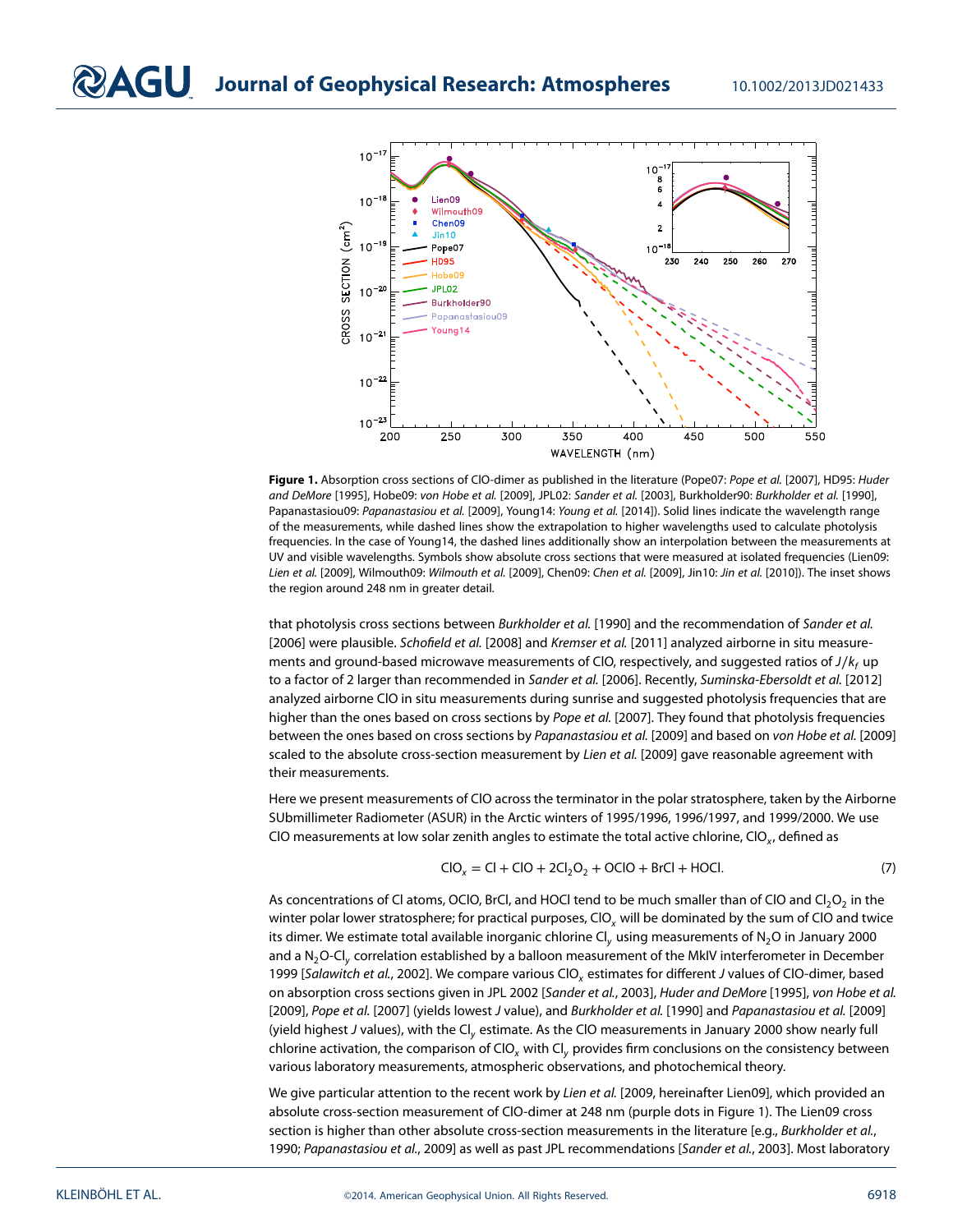

<span id="page-2-0"></span>Figure 1. Absorption cross sections of CIO-dimer as published in the literature (Pope07: Pope et al. [2007], HD95: Huder and DeMore [1995], Hobe09: von Hobe et al. [2009], JPL02: Sander et al. [2003], Burkholder90: Burkholder et al. [1990], Papanastasiou09: Papanastasiou et al. [2009], Young14: Young et al. [2014]). Solid lines indicate the wavelength range of the measurements, while dashed lines show the extrapolation to higher wavelengths used to calculate photolysis frequencies. In the case of Young14, the dashed lines additionally show an interpolation between the measurements at UV and visible wavelengths. Symbols show absolute cross sections that were measured at isolated frequencies (Lien09: Lien et al. [2009], Wilmouth09: Wilmouth et al. [2009], Chen09: Chen et al. [2009], Jin10: Jin et al. [2010]). The inset shows the region around 248 nm in greater detail.

that photolysis cross sections between Burkholder et al. [1990] and the recommendation of Sander et al. [2006] were plausible. Schofield et al. [2008] and Kremser et al. [2011] analyzed airborne in situ measurements and ground-based microwave measurements of ClO, respectively, and suggested ratios of J/k<sub>f</sub> up to a factor of 2 larger than recommended in Sander et al. [2006]. Recently, Suminska-Ebersoldt et al. [2012] analyzed airborne ClO in situ measurements during sunrise and suggested photolysis frequencies that are higher than the ones based on cross sections by Pope et al. [2007]. They found that photolysis frequencies between the ones based on cross sections by Papanastasiou et al. [2009] and based on von Hobe et al. [2009] scaled to the absolute cross-section measurement by Lien et al. [2009] gave reasonable agreement with their measurements.

Here we present measurements of ClO across the terminator in the polar stratosphere, taken by the Airborne SUbmillimeter Radiometer (ASUR) in the Arctic winters of 1995/1996, 1996/1997, and 1999/2000. We use CIO measurements at low solar zenith angles to estimate the total active chlorine, CIO<sub>x</sub>, defined as

<span id="page-2-1"></span>
$$
CIO_x = CI + CIO + 2Cl_2O_2 + OClO + BrCl + HOCl.
$$
 (7)

As concentrations of Cl atoms, OClO, BrCl, and HOCl tend to be much smaller than of ClO and  $Cl_2O_2$  in the winter polar lower stratosphere; for practical purposes, CIO<sub>x</sub> will be dominated by the sum of CIO and twice its dimer. We estimate total available inorganic chlorine  $CI_v$  using measurements of  $N_2O$  in January 2000 and a N<sub>2</sub>O-Cl<sub>y</sub> correlation established by a balloon measurement of the MkIV interferometer in December 1999 [Salawitch et al., 2002]. We compare various CIO<sub>x</sub> estimates for different J values of CIO-dimer, based on absorption cross sections given in JPL 2002 [Sander et al., 2003], Huder and DeMore [1995], von Hobe et al. [2009], Pope et al. [2007] (yields lowest J value), and Burkholder et al. [1990] and Papanastasiou et al. [2009] (yield highest J values), with the  $Cl<sub>v</sub>$  estimate. As the CIO measurements in January 2000 show nearly full chlorine activation, the comparison of CIO<sub>x</sub> with CI<sub>v</sub> provides firm conclusions on the consistency between various laboratory measurements, atmospheric observations, and photochemical theory.

We give particular attention to the recent work by Lien et al. [2009, hereinafter Lien09], which provided an absolute cross-section measurement of ClO-dimer at 248 nm (purple dots in Figure [1\)](#page-2-0). The Lien09 cross section is higher than other absolute cross-section measurements in the literature [e.g., Burkholder et al., 1990; Papanastasiou et al., 2009] as well as past JPL recommendations [Sander et al., 2003]. Most laboratory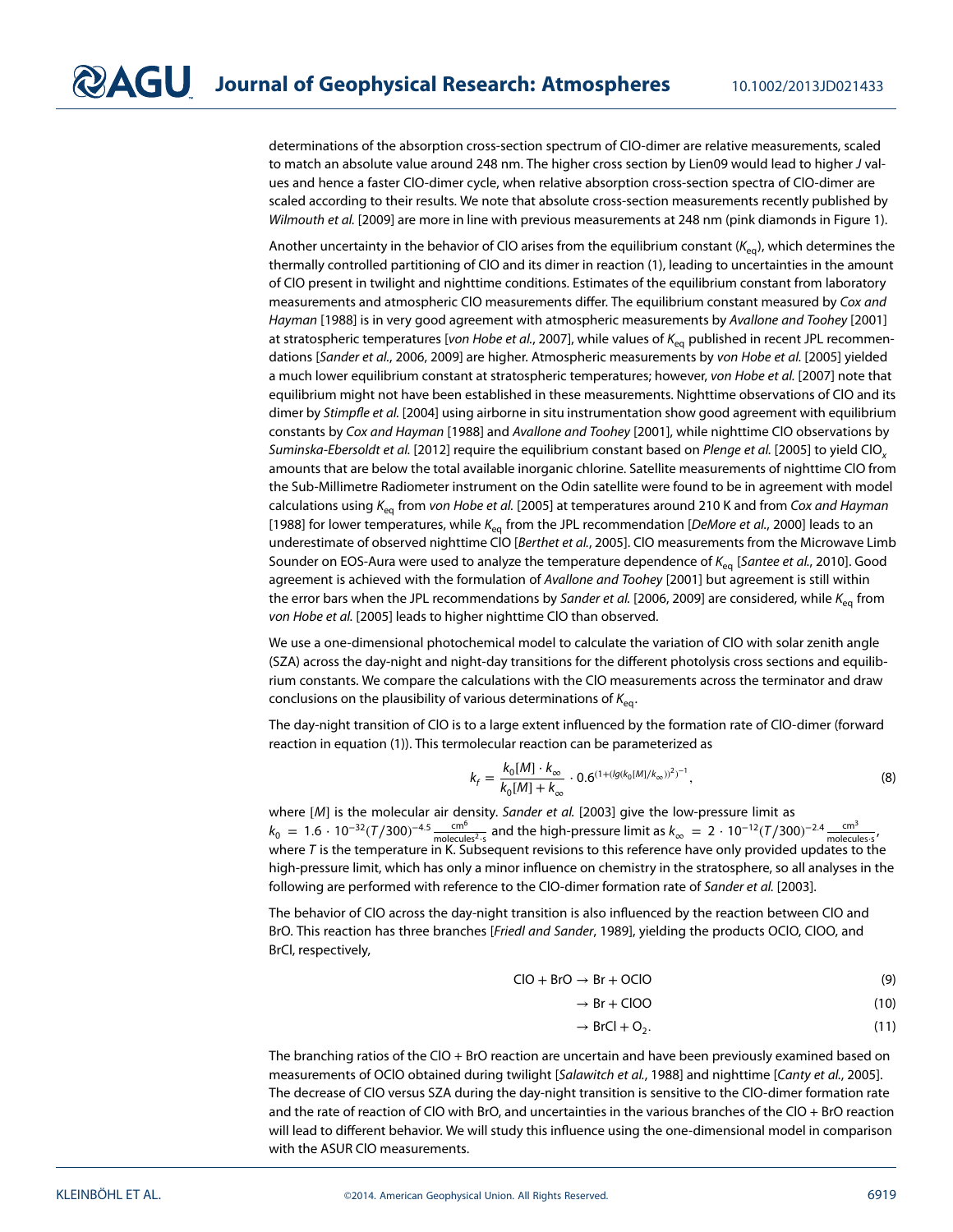determinations of the absorption cross-section spectrum of ClO-dimer are relative measurements, scaled to match an absolute value around 248 nm. The higher cross section by Lien09 would lead to higher J values and hence a faster ClO-dimer cycle, when relative absorption cross-section spectra of ClO-dimer are scaled according to their results. We note that absolute cross-section measurements recently published by Wilmouth et al. [2009] are more in line with previous measurements at 248 nm (pink diamonds in Figure [1\)](#page-2-0).

Another uncertainty in the behavior of CIO arises from the equilibrium constant ( $K_{eq}$ ), which determines the thermally controlled partitioning of ClO and its dimer in reaction [\(1\)](#page-0-1), leading to uncertainties in the amount of ClO present in twilight and nighttime conditions. Estimates of the equilibrium constant from laboratory measurements and atmospheric CIO measurements differ. The equilibrium constant measured by Cox and Hayman [1988] is in very good agreement with atmospheric measurements by Avallone and Toohey [2001] at stratospheric temperatures [von Hobe et al., 2007], while values of  $K_{eq}$  published in recent JPL recommendations [Sander et al., 2006, 2009] are higher. Atmospheric measurements by von Hobe et al. [2005] yielded a much lower equilibrium constant at stratospheric temperatures; however, von Hobe et al. [2007] note that equilibrium might not have been established in these measurements. Nighttime observations of ClO and its dimer by Stimpfle et al. [2004] using airborne in situ instrumentation show good agreement with equilibrium constants by Cox and Hayman [1988] and Avallone and Toohey [2001], while nighttime ClO observations by Suminska-Ebersoldt et al. [2012] require the equilibrium constant based on Plenge et al. [2005] to yield ClO<sub>y</sub> amounts that are below the total available inorganic chlorine. Satellite measurements of nighttime ClO from the Sub-Millimetre Radiometer instrument on the Odin satellite were found to be in agreement with model calculations using  $K_{eq}$  from von Hobe et al. [2005] at temperatures around 210 K and from Cox and Hayman [1988] for lower temperatures, while K<sub>eq</sub> from the JPL recommendation [DeMore et al., 2000] leads to an underestimate of observed nighttime ClO [Berthet et al., 2005]. ClO measurements from the Microwave Limb Sounder on EOS-Aura were used to analyze the temperature dependence of  $K_{eq}$  [Santee et al., 2010]. Good agreement is achieved with the formulation of Avallone and Toohey [2001] but agreement is still within the error bars when the JPL recommendations by Sander et al. [2006, 2009] are considered, while  $K_{eq}$  from von Hobe et al. [2005] leads to higher nighttime ClO than observed.

We use a one-dimensional photochemical model to calculate the variation of ClO with solar zenith angle (SZA) across the day-night and night-day transitions for the different photolysis cross sections and equilibrium constants. We compare the calculations with the ClO measurements across the terminator and draw conclusions on the plausibility of various determinations of  $K_{eq}$ .

The day-night transition of ClO is to a large extent influenced by the formation rate of ClO-dimer (forward reaction in equation [\(1\)](#page-0-1)). This termolecular reaction can be parameterized as

$$
k_f = \frac{k_0[M] \cdot k_{\infty}}{k_0[M] + k_{\infty}} \cdot 0.6^{(1 + (lg(k_0[M]/k_{\infty}))^2)^{-1}},
$$
\n(8)

where [M] is the molecular air density. Sander et al. [2003] give the low-pressure limit as  $k_0 = 1.6 \cdot 10^{-32} (T/300)^{-4.5} \frac{\text{cm}^6}{\text{molecules}^2 \cdot \text{s}}$  and the high-pressure limit as  $k_\infty = 2 \cdot 10^{-12} (T/300)^{-2.4} \frac{\text{cm}^3}{\text{molecules} \cdot \text{s}}$ , where  $T$  is the temperature in K. Subsequent revisions to this reference have only provided updates to the high-pressure limit, which has only a minor influence on chemistry in the stratosphere, so all analyses in the following are performed with reference to the ClO-dimer formation rate of Sander et al. [2003].

The behavior of ClO across the day-night transition is also influenced by the reaction between ClO and BrO. This reaction has three branches [Friedl and Sander, 1989], yielding the products OClO, ClOO, and BrCl, respectively,

$$
ClO + BrO \rightarrow Br + OClO \tag{9}
$$

$$
\rightarrow \text{Br} + \text{CIOO} \tag{10}
$$

<span id="page-3-2"></span><span id="page-3-1"></span><span id="page-3-0"></span>
$$
\rightarrow BrCl + O_2. \tag{11}
$$

The branching ratios of the ClO + BrO reaction are uncertain and have been previously examined based on measurements of OClO obtained during twilight [Salawitch et al., 1988] and nighttime [Canty et al., 2005]. The decrease of ClO versus SZA during the day-night transition is sensitive to the ClO-dimer formation rate and the rate of reaction of ClO with BrO, and uncertainties in the various branches of the ClO + BrO reaction will lead to different behavior. We will study this influence using the one-dimensional model in comparison with the ASUR ClO measurements.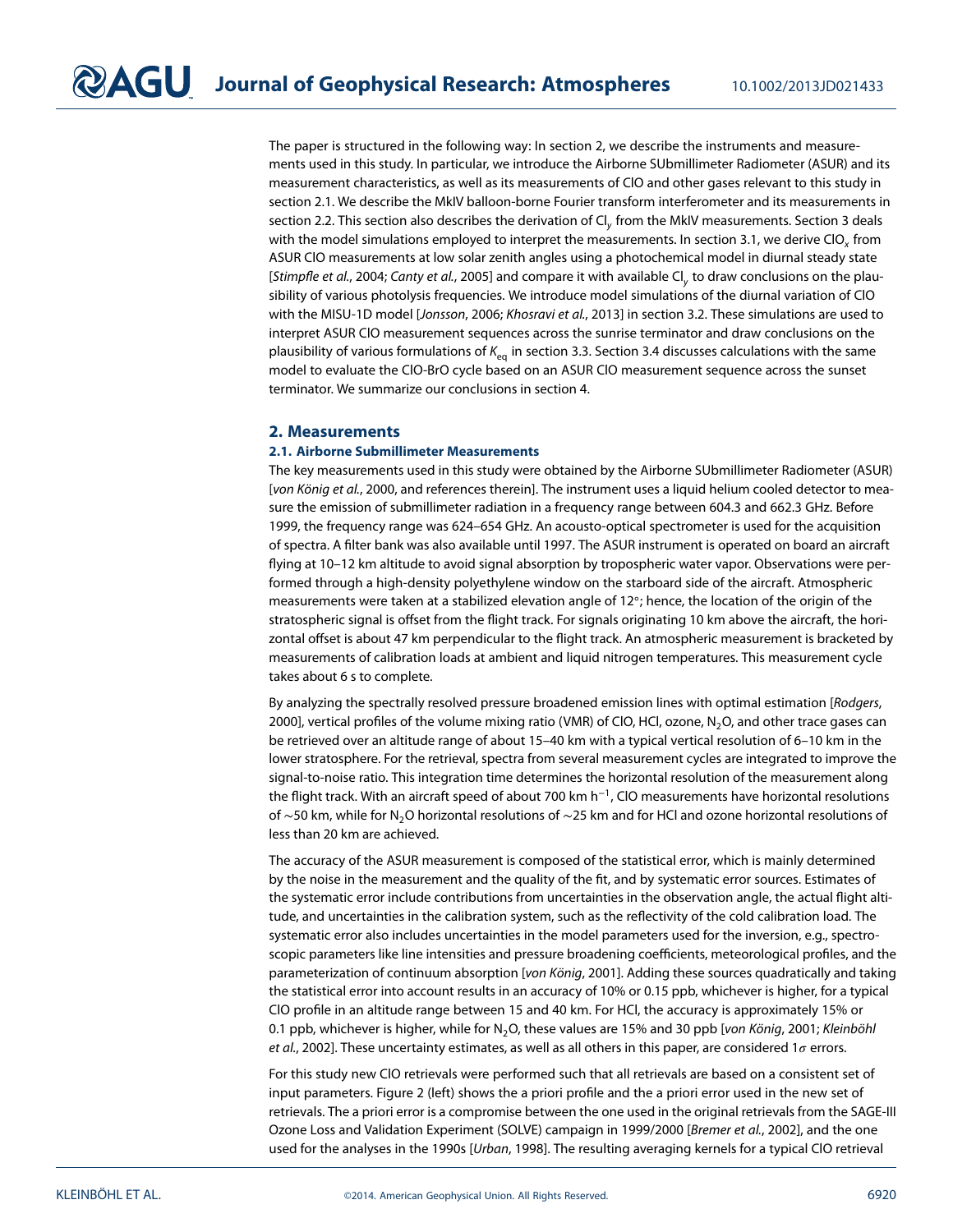The paper is structured in the following way: In section [2,](#page-4-0) we describe the instruments and measurements used in this study. In particular, we introduce the Airborne SUbmillimeter Radiometer (ASUR) and its measurement characteristics, as well as its measurements of ClO and other gases relevant to this study in section [2.1.](#page-4-1) We describe the MkIV balloon-borne Fourier transform interferometer and its measurements in section [2.2.](#page-7-0) This section also describes the derivation of  $Cl<sub>v</sub>$  from the MkIV measurements. Section [3](#page-8-0) deals with the model simulations employed to interpret the measurements. In section [3.1,](#page-8-1) we derive ClO<sub>x</sub> from ASUR ClO measurements at low solar zenith angles using a photochemical model in diurnal steady state [Stimpfle et al., 2004; Canty et al., 2005] and compare it with available Cl<sub>v</sub> to draw conclusions on the plausibility of various photolysis frequencies. We introduce model simulations of the diurnal variation of ClO with the MISU-1D model [Jonsson, 2006; Khosravi et al., 2013] in section [3.2.](#page-11-0) These simulations are used to interpret ASUR ClO measurement sequences across the sunrise terminator and draw conclusions on the plausibility of various formulations of  $K_{eq}$  in section [3.3.](#page-14-0) Section [3.4](#page-15-0) discusses calculations with the same model to evaluate the ClO-BrO cycle based on an ASUR ClO measurement sequence across the sunset terminator. We summarize our conclusions in section [4.](#page-18-0)

#### <span id="page-4-1"></span><span id="page-4-0"></span>**2. Measurements**

#### **2.1. Airborne Submillimeter Measurements**

The key measurements used in this study were obtained by the Airborne SUbmillimeter Radiometer (ASUR) [von König et al., 2000, and references therein]. The instrument uses a liquid helium cooled detector to measure the emission of submillimeter radiation in a frequency range between 604.3 and 662.3 GHz. Before 1999, the frequency range was 624–654 GHz. An acousto-optical spectrometer is used for the acquisition of spectra. A filter bank was also available until 1997. The ASUR instrument is operated on board an aircraft flying at 10–12 km altitude to avoid signal absorption by tropospheric water vapor. Observations were performed through a high-density polyethylene window on the starboard side of the aircraft. Atmospheric measurements were taken at a stabilized elevation angle of 12◦; hence, the location of the origin of the stratospheric signal is offset from the flight track. For signals originating 10 km above the aircraft, the horizontal offset is about 47 km perpendicular to the flight track. An atmospheric measurement is bracketed by measurements of calibration loads at ambient and liquid nitrogen temperatures. This measurement cycle takes about 6 s to complete.

By analyzing the spectrally resolved pressure broadened emission lines with optimal estimation [Rodgers, 2000], vertical profiles of the volume mixing ratio (VMR) of ClO, HCl, ozone, N2O, and other trace gases can be retrieved over an altitude range of about 15–40 km with a typical vertical resolution of 6–10 km in the lower stratosphere. For the retrieval, spectra from several measurement cycles are integrated to improve the signal-to-noise ratio. This integration time determines the horizontal resolution of the measurement along the flight track. With an aircraft speed of about 700 km h<sup>−</sup>1, ClO measurements have horizontal resolutions of ~50 km, while for N<sub>2</sub>O horizontal resolutions of ~25 km and for HCl and ozone horizontal resolutions of less than 20 km are achieved.

The accuracy of the ASUR measurement is composed of the statistical error, which is mainly determined by the noise in the measurement and the quality of the fit, and by systematic error sources. Estimates of the systematic error include contributions from uncertainties in the observation angle, the actual flight altitude, and uncertainties in the calibration system, such as the reflectivity of the cold calibration load. The systematic error also includes uncertainties in the model parameters used for the inversion, e.g., spectroscopic parameters like line intensities and pressure broadening coefficients, meteorological profiles, and the parameterization of continuum absorption [von König, 2001]. Adding these sources quadratically and taking the statistical error into account results in an accuracy of 10% or 0.15 ppb, whichever is higher, for a typical ClO profile in an altitude range between 15 and 40 km. For HCl, the accuracy is approximately 15% or 0.1 ppb, whichever is higher, while for  $N_2O$ , these values are 15% and 30 ppb [von König, 2001; Kleinböhl et al., 2002]. These uncertainty estimates, as well as all others in this paper, are considered  $1\sigma$  errors.

For this study new ClO retrievals were performed such that all retrievals are based on a consistent set of input parameters. Figure [2](#page-5-0) (left) shows the a priori profile and the a priori error used in the new set of retrievals. The a priori error is a compromise between the one used in the original retrievals from the SAGE-III Ozone Loss and Validation Experiment (SOLVE) campaign in 1999/2000 [Bremer et al., 2002], and the one used for the analyses in the 1990s [Urban, 1998]. The resulting averaging kernels for a typical ClO retrieval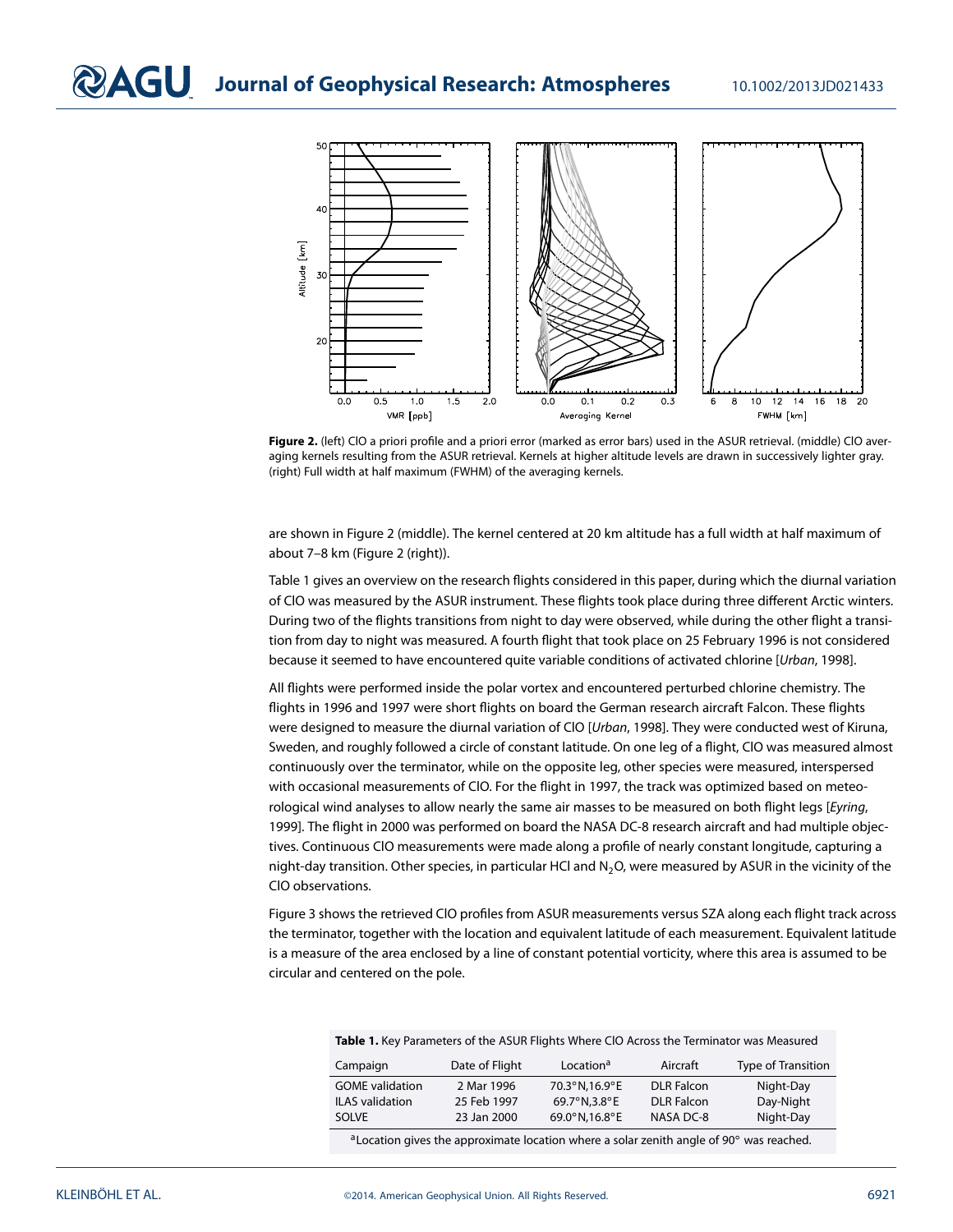

<span id="page-5-0"></span>Figure 2. (left) ClO a priori profile and a priori error (marked as error bars) used in the ASUR retrieval. (middle) ClO averaging kernels resulting from the ASUR retrieval. Kernels at higher altitude levels are drawn in successively lighter gray. (right) Full width at half maximum (FWHM) of the averaging kernels.

are shown in Figure [2](#page-5-0) (middle). The kernel centered at 20 km altitude has a full width at half maximum of about 7–8 km (Figure [2](#page-5-0) (right)).

Table [1](#page-5-1) gives an overview on the research flights considered in this paper, during which the diurnal variation of ClO was measured by the ASUR instrument. These flights took place during three different Arctic winters. During two of the flights transitions from night to day were observed, while during the other flight a transition from day to night was measured. A fourth flight that took place on 25 February 1996 is not considered because it seemed to have encountered quite variable conditions of activated chlorine [Urban, 1998].

All flights were performed inside the polar vortex and encountered perturbed chlorine chemistry. The flights in 1996 and 1997 were short flights on board the German research aircraft Falcon. These flights were designed to measure the diurnal variation of CIO [Urban, 1998]. They were conducted west of Kiruna, Sweden, and roughly followed a circle of constant latitude. On one leg of a flight, ClO was measured almost continuously over the terminator, while on the opposite leg, other species were measured, interspersed with occasional measurements of ClO. For the flight in 1997, the track was optimized based on meteorological wind analyses to allow nearly the same air masses to be measured on both flight legs [Eyring, 1999]. The flight in 2000 was performed on board the NASA DC-8 research aircraft and had multiple objectives. Continuous ClO measurements were made along a profile of nearly constant longitude, capturing a night-day transition. Other species, in particular HCl and  $N_2O$ , were measured by ASUR in the vicinity of the ClO observations.

Figure [3](#page-6-0) shows the retrieved ClO profiles from ASUR measurements versus SZA along each flight track across the terminator, together with the location and equivalent latitude of each measurement. Equivalent latitude is a measure of the area enclosed by a line of constant potential vorticity, where this area is assumed to be circular and centered on the pole.

<span id="page-5-1"></span>**Table 1.** Key Parameters of the ASUR Flights Where ClO Across the Terminator was Measured

| Campaign               | Date of Flight | Location <sup>a</sup> | Aircraft          | Type of Transition |
|------------------------|----------------|-----------------------|-------------------|--------------------|
| <b>GOME</b> validation | 2 Mar 1996     | 70.3°N.16.9°E         | <b>DLR</b> Falcon | Night-Day          |
| <b>ILAS</b> validation | 25 Feb 1997    | 69.7°N.3.8°E          | <b>DLR</b> Falcon | Day-Night          |
| SOLVE.                 | 23 Jan 2000    | 69.0°N,16.8°E         | NASA DC-8         | Night-Day          |

aLocation gives the approximate location where a solar zenith angle of 90° was reached.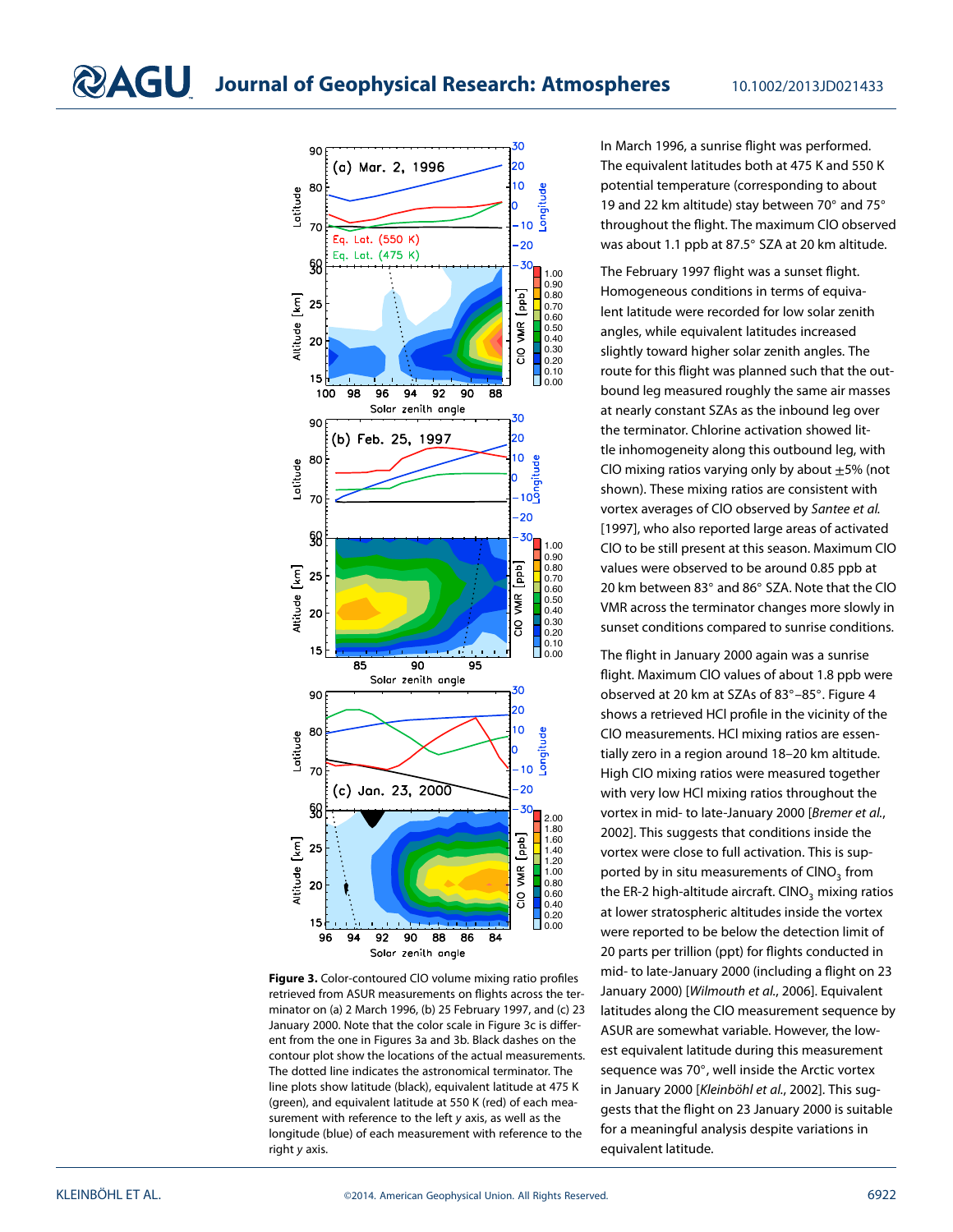

<span id="page-6-0"></span>**Figure 3.** Color-contoured ClO volume mixing ratio profiles retrieved from ASUR measurements on flights across the terminator on (a) 2 March 1996, (b) 25 February 1997, and (c) 23 January 2000. Note that the color scale in Figure [3c](#page-6-0) is different from the one in Figures [3a](#page-6-0) and [3b](#page-6-0). Black dashes on the contour plot show the locations of the actual measurements. The dotted line indicates the astronomical terminator. The line plots show latitude (black), equivalent latitude at 475 K (green), and equivalent latitude at 550 K (red) of each measurement with reference to the left y axis, as well as the longitude (blue) of each measurement with reference to the right y axis.

In March 1996, a sunrise flight was performed. The equivalent latitudes both at 475 K and 550 K potential temperature (corresponding to about 19 and 22 km altitude) stay between 70◦ and 75◦ throughout the flight. The maximum ClO observed was about 1.1 ppb at 87.5◦ SZA at 20 km altitude.

The February 1997 flight was a sunset flight. Homogeneous conditions in terms of equivalent latitude were recorded for low solar zenith angles, while equivalent latitudes increased slightly toward higher solar zenith angles. The route for this flight was planned such that the outbound leg measured roughly the same air masses at nearly constant SZAs as the inbound leg over the terminator. Chlorine activation showed little inhomogeneity along this outbound leg, with ClO mixing ratios varying only by about  $\pm$ 5% (not shown). These mixing ratios are consistent with vortex averages of ClO observed by Santee et al. [1997], who also reported large areas of activated ClO to be still present at this season. Maximum ClO values were observed to be around 0.85 ppb at 20 km between 83◦ and 86◦ SZA. Note that the ClO VMR across the terminator changes more slowly in sunset conditions compared to sunrise conditions.

The flight in January 2000 again was a sunrise flight. Maximum ClO values of about 1.8 ppb were observed at 20 km at SZAs of 83◦–85◦. Figure [4](#page-7-1) shows a retrieved HCl profile in the vicinity of the ClO measurements. HCl mixing ratios are essentially zero in a region around 18–20 km altitude. High ClO mixing ratios were measured together with very low HCl mixing ratios throughout the vortex in mid- to late-January 2000 [Bremer et al., 2002]. This suggests that conditions inside the vortex were close to full activation. This is supported by in situ measurements of  $CINO<sub>3</sub>$  from the ER-2 high-altitude aircraft. CINO<sub>3</sub> mixing ratios at lower stratospheric altitudes inside the vortex were reported to be below the detection limit of 20 parts per trillion (ppt) for flights conducted in mid- to late-January 2000 (including a flight on 23 January 2000) [Wilmouth et al., 2006]. Equivalent latitudes along the ClO measurement sequence by ASUR are somewhat variable. However, the lowest equivalent latitude during this measurement sequence was 70◦, well inside the Arctic vortex in January 2000 [Kleinböhl et al., 2002]. This suggests that the flight on 23 January 2000 is suitable for a meaningful analysis despite variations in equivalent latitude.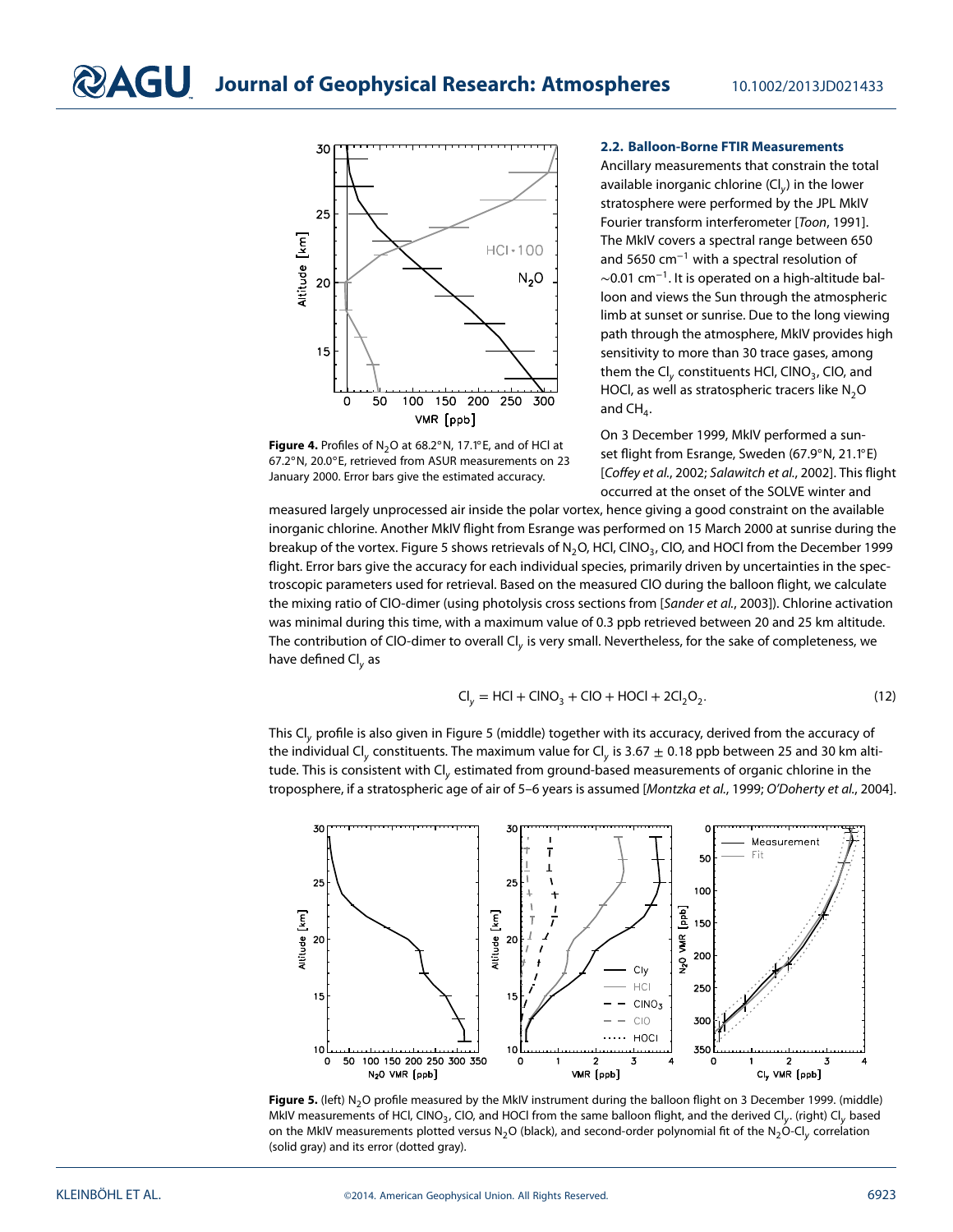<span id="page-7-0"></span>

<span id="page-7-1"></span>

#### **2.2. Balloon-Borne FTIR Measurements**

Ancillary measurements that constrain the total available inorganic chlorine (Cl<sub>v</sub>) in the lower stratosphere were performed by the JPL MkIV Fourier transform interferometer [Toon, 1991]. The MkIV covers a spectral range between 650 and 5650 cm<sup>−</sup><sup>1</sup> with a spectral resolution of  $\sim$ 0.01 cm<sup>-1</sup>. It is operated on a high-altitude balloon and views the Sun through the atmospheric limb at sunset or sunrise. Due to the long viewing path through the atmosphere, MkIV provides high sensitivity to more than 30 trace gases, among them the Cl<sub>v</sub> constituents HCl, CINO<sub>3</sub>, CIO, and HOCl, as well as stratospheric tracers like  $N_2O$ and  $CH<sub>4</sub>$ .

On 3 December 1999, MkIV performed a sunset flight from Esrange, Sweden (67.9◦N, 21.1◦E) [Coffey et al., 2002; Salawitch et al., 2002]. This flight occurred at the onset of the SOLVE winter and

measured largely unprocessed air inside the polar vortex, hence giving a good constraint on the available inorganic chlorine. Another MkIV flight from Esrange was performed on 15 March 2000 at sunrise during the breakup of the vortex. Figure [5](#page-7-2) shows retrievals of N<sub>2</sub>O, HCl, CINO<sub>3</sub>, CIO, and HOCl from the December 1999 flight. Error bars give the accuracy for each individual species, primarily driven by uncertainties in the spectroscopic parameters used for retrieval. Based on the measured ClO during the balloon flight, we calculate the mixing ratio of ClO-dimer (using photolysis cross sections from [Sander et al., 2003]). Chlorine activation was minimal during this time, with a maximum value of 0.3 ppb retrieved between 20 and 25 km altitude. The contribution of CIO-dimer to overall  $Cl<sub>v</sub>$  is very small. Nevertheless, for the sake of completeness, we have defined  $\text{Cl}_v$  as

$$
CI_y = HCI + CINO_3 + CIO + HOCI + 2Cl_2O_2.
$$
 (12)

This Cl<sub>y</sub> profile is also given in Figure [5](#page-7-2) (middle) together with its accuracy, derived from the accuracy of the individual Cl<sub>y</sub> constituents. The maximum value for Cl<sub>y</sub> is 3.67  $\pm$  0.18 ppb between 25 and 30 km altitude. This is consistent with Cl<sub>v</sub> estimated from ground-based measurements of organic chlorine in the troposphere, if a stratospheric age of air of 5–6 years is assumed [Montzka et al., 1999; O'Doherty et al., 2004].



<span id="page-7-2"></span>Figure 5. (left) N<sub>2</sub>O profile measured by the MkIV instrument during the balloon flight on 3 December 1999. (middle) MkIV measurements of HCl, CINO<sub>3</sub>, CIO, and HOCI from the same balloon flight, and the derived Cl<sub>v</sub>. (right) Cl<sub>v</sub> based on the MkIV measurements plotted versus N<sub>2</sub>O (black), and second-order polynomial fit of the N<sub>2</sub>O-Cl<sub>y</sub> correlation (solid gray) and its error (dotted gray).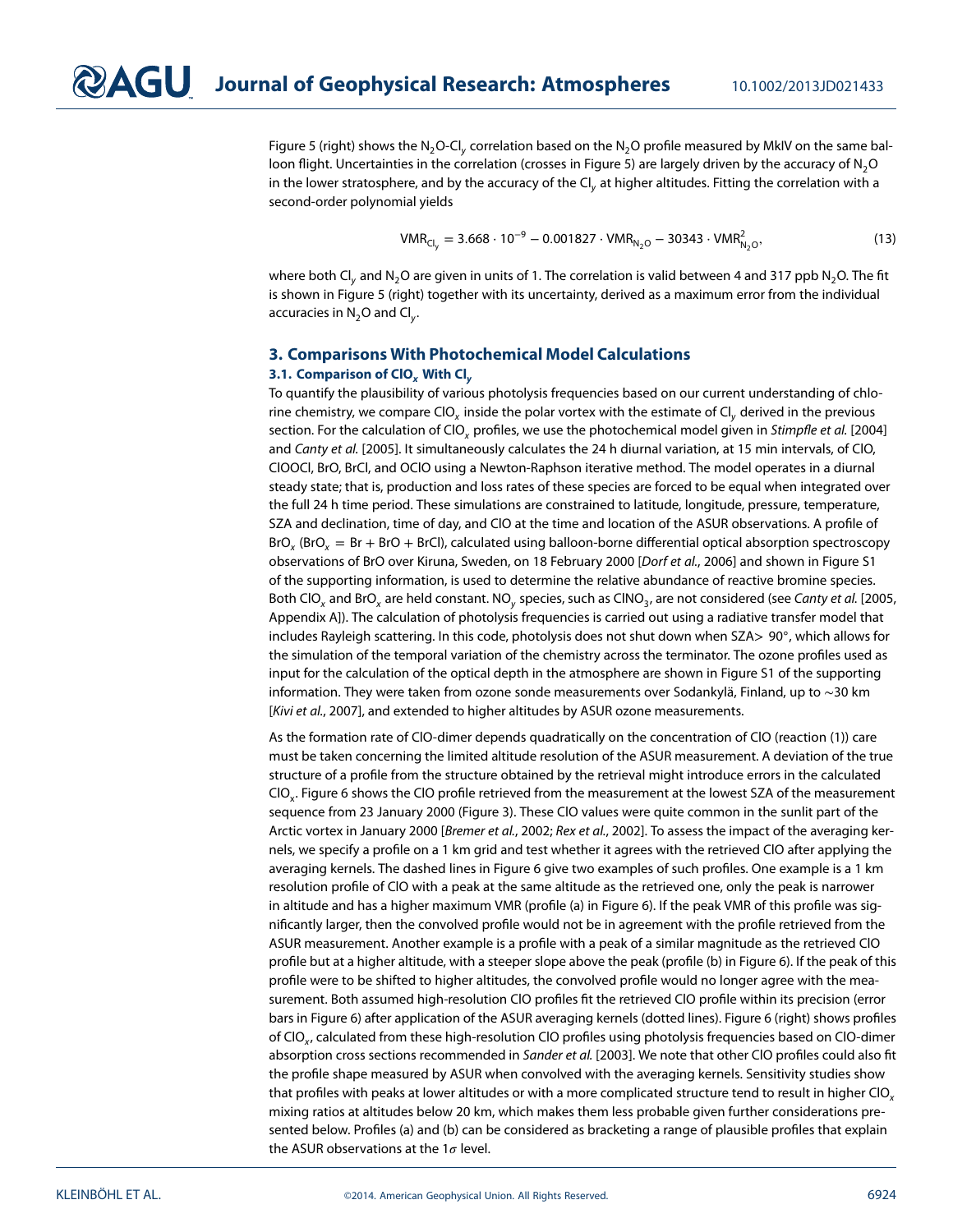Figure [5](#page-7-2) (right) shows the N<sub>2</sub>O-Cl<sub>y</sub> correlation based on the N<sub>2</sub>O profile measured by MkIV on the same bal-loon flight. Uncertainties in the correlation (crosses in Figure [5\)](#page-7-2) are largely driven by the accuracy of N<sub>2</sub>O in the lower stratosphere, and by the accuracy of the Cl<sub>v</sub> at higher altitudes. Fitting the correlation with a second-order polynomial yields

<span id="page-8-2"></span>
$$
VMR_{Cl_y} = 3.668 \cdot 10^{-9} - 0.001827 \cdot VMR_{N_2O} - 30343 \cdot VMR_{N_2O}^2,
$$
\n(13)

where both Cl<sub>y</sub> and N<sub>2</sub>O are given in units of 1. The correlation is valid between 4 and 317 ppb N<sub>2</sub>O. The fit is shown in Figure [5](#page-7-2) (right) together with its uncertainty, derived as a maximum error from the individual accuracies in  $N_2O$  and Cl<sub>y</sub>.

#### <span id="page-8-1"></span><span id="page-8-0"></span>**3. Comparisons With Photochemical Model Calculations 3.1. Comparison of ClO***<sup>x</sup>* **With Cl***<sup>y</sup>*

To quantify the plausibility of various photolysis frequencies based on our current understanding of chlorine chemistry, we compare CIO<sub>x</sub> inside the polar vortex with the estimate of CI<sub>v</sub> derived in the previous section. For the calculation of CIO<sub>y</sub> profiles, we use the photochemical model given in Stimpfle et al. [2004] and Canty et al. [2005]. It simultaneously calculates the 24 h diurnal variation, at 15 min intervals, of ClO, ClOOCl, BrO, BrCl, and OClO using a Newton-Raphson iterative method. The model operates in a diurnal steady state; that is, production and loss rates of these species are forced to be equal when integrated over the full 24 h time period. These simulations are constrained to latitude, longitude, pressure, temperature, SZA and declination, time of day, and ClO at the time and location of the ASUR observations. A profile of  $BrO<sub>x</sub>$  (BrO<sub>x</sub> = Br + BrO + BrCl), calculated using balloon-borne differential optical absorption spectroscopy observations of BrO over Kiruna, Sweden, on 18 February 2000 [Dorf et al., 2006] and shown in Figure S1 of the supporting information, is used to determine the relative abundance of reactive bromine species. Both ClO<sub>y</sub> and BrO<sub>y</sub> are held constant. NO<sub>y</sub> species, such as ClNO<sub>3</sub>, are not considered (see Canty et al. [2005, Appendix A]). The calculation of photolysis frequencies is carried out using a radiative transfer model that includes Rayleigh scattering. In this code, photolysis does not shut down when SZA*>* 90◦, which allows for the simulation of the temporal variation of the chemistry across the terminator. The ozone profiles used as input for the calculation of the optical depth in the atmosphere are shown in Figure S1 of the supporting information. They were taken from ozone sonde measurements over Sodankylä, Finland, up to ∼30 km [Kivi et al., 2007], and extended to higher altitudes by ASUR ozone measurements.

As the formation rate of ClO-dimer depends quadratically on the concentration of ClO (reaction [\(1\)](#page-0-1)) care must be taken concerning the limited altitude resolution of the ASUR measurement. A deviation of the true structure of a profile from the structure obtained by the retrieval might introduce errors in the calculated ClOx. Figure [6](#page-9-0) shows the ClO profile retrieved from the measurement at the lowest SZA of the measurement sequence from 23 January 2000 (Figure [3\)](#page-6-0). These ClO values were quite common in the sunlit part of the Arctic vortex in January 2000 [Bremer et al., 2002; Rex et al., 2002]. To assess the impact of the averaging kernels, we specify a profile on a 1 km grid and test whether it agrees with the retrieved ClO after applying the averaging kernels. The dashed lines in Figure [6](#page-9-0) give two examples of such profiles. One example is a 1 km resolution profile of ClO with a peak at the same altitude as the retrieved one, only the peak is narrower in altitude and has a higher maximum VMR (profile (a) in Figure [6\)](#page-9-0). If the peak VMR of this profile was significantly larger, then the convolved profile would not be in agreement with the profile retrieved from the ASUR measurement. Another example is a profile with a peak of a similar magnitude as the retrieved ClO profile but at a higher altitude, with a steeper slope above the peak (profile (b) in Figure [6\)](#page-9-0). If the peak of this profile were to be shifted to higher altitudes, the convolved profile would no longer agree with the measurement. Both assumed high-resolution ClO profiles fit the retrieved ClO profile within its precision (error bars in Figure [6\)](#page-9-0) after application of the ASUR averaging kernels (dotted lines). Figure [6](#page-9-0) (right) shows profiles of CIO<sub>y</sub>, calculated from these high-resolution CIO profiles using photolysis frequencies based on CIO-dimer absorption cross sections recommended in Sander et al. [2003]. We note that other CIO profiles could also fit the profile shape measured by ASUR when convolved with the averaging kernels. Sensitivity studies show that profiles with peaks at lower altitudes or with a more complicated structure tend to result in higher ClO<sub>x</sub> mixing ratios at altitudes below 20 km, which makes them less probable given further considerations presented below. Profiles (a) and (b) can be considered as bracketing a range of plausible profiles that explain the ASUR observations at the  $1\sigma$  level.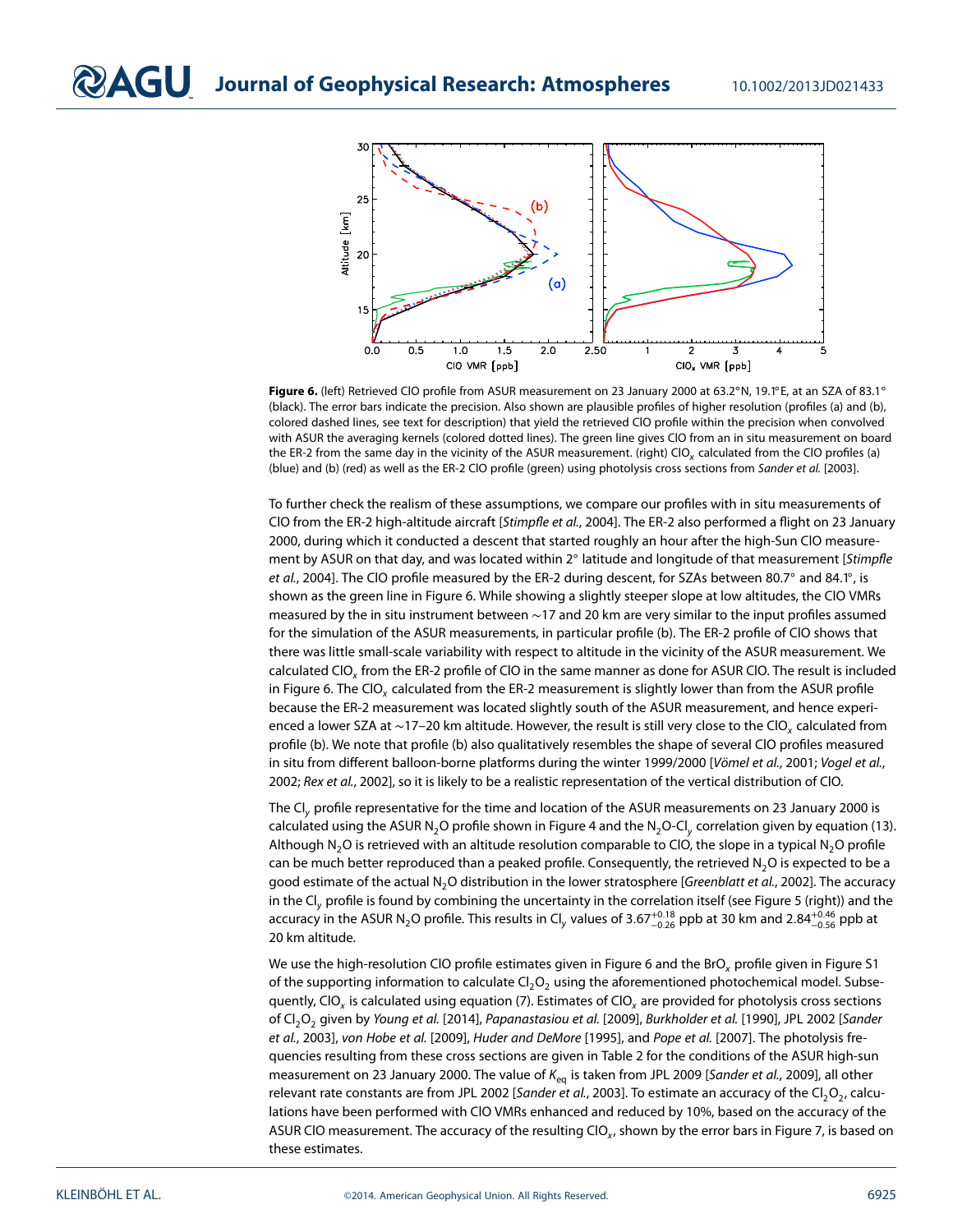

<span id="page-9-0"></span>**Figure 6.** (left) Retrieved ClO profile from ASUR measurement on 23 January 2000 at 63.2◦N, 19.1◦E, at an SZA of 83.1◦ (black). The error bars indicate the precision. Also shown are plausible profiles of higher resolution (profiles (a) and (b), colored dashed lines, see text for description) that yield the retrieved ClO profile within the precision when convolved with ASUR the averaging kernels (colored dotted lines). The green line gives ClO from an in situ measurement on board the ER-2 from the same day in the vicinity of the ASUR measurement. (right)  $ClO<sub>x</sub>$  calculated from the ClO profiles (a) (blue) and (b) (red) as well as the ER-2 CIO profile (green) using photolysis cross sections from Sander et al. [2003].

To further check the realism of these assumptions, we compare our profiles with in situ measurements of CIO from the ER-2 high-altitude aircraft [Stimpfle et al., 2004]. The ER-2 also performed a flight on 23 January 2000, during which it conducted a descent that started roughly an hour after the high-Sun ClO measurement by ASUR on that day, and was located within 2° latitude and longitude of that measurement [Stimpfle et al., 2004]. The CIO profile measured by the ER-2 during descent, for SZAs between 80.7° and 84.1°, is shown as the green line in Figure [6.](#page-9-0) While showing a slightly steeper slope at low altitudes, the ClO VMRs measured by the in situ instrument between ~17 and 20 km are very similar to the input profiles assumed for the simulation of the ASUR measurements, in particular profile (b). The ER-2 profile of ClO shows that there was little small-scale variability with respect to altitude in the vicinity of the ASUR measurement. We calculated ClO<sub>y</sub> from the ER-2 profile of ClO in the same manner as done for ASUR ClO. The result is included in Figure [6.](#page-9-0) The CIO<sub>x</sub> calculated from the ER-2 measurement is slightly lower than from the ASUR profile because the ER-2 measurement was located slightly south of the ASUR measurement, and hence experienced a lower SZA at ∼17–20 km altitude. However, the result is still very close to the ClO<sub>y</sub> calculated from profile (b). We note that profile (b) also qualitatively resembles the shape of several ClO profiles measured in situ from different balloon-borne platforms during the winter 1999/2000 [Vömel et al., 2001; Vogel et al., 2002; Rex et al., 2002], so it is likely to be a realistic representation of the vertical distribution of ClO.

The Cl<sub>y</sub> profile representative for the time and location of the ASUR measurements on 23 January 2000 is calculated using the ASUR N<sub>2</sub>O profile shown in Figure [4](#page-7-1) and the N<sub>2</sub>O-Cl<sub>y</sub> correlation given by equation [\(13\)](#page-8-2). Although N<sub>2</sub>O is retrieved with an altitude resolution comparable to ClO, the slope in a typical N<sub>2</sub>O profile can be much better reproduced than a peaked profile. Consequently, the retrieved N<sub>2</sub>O is expected to be a good estimate of the actual N<sub>2</sub>O distribution in the lower stratosphere [Greenblatt et al., 2002]. The accuracy in the Cl<sub>y</sub> profile is found by combining the uncertainty in the correlation itself (see Figure [5](#page-7-2) (right)) and the accuracy in the ASUR N<sub>2</sub>O profile. This results in Cl<sub>y</sub> values of 3.67<sup>+0.18</sup> ppb at 30 km and 2.84<sup>+0.46</sup> ppb at 20 km altitude.

We use the high-resolution CIO profile estimates given in Figure [6](#page-9-0) and the BrO<sub>x</sub> profile given in Figure S1 of the supporting information to calculate  $Cl<sub>2</sub>O<sub>2</sub>$  using the aforementioned photochemical model. Subse-quently, ClO<sub>x</sub> is calculated using equation [\(7\)](#page-2-1). Estimates of ClO<sub>x</sub> are provided for photolysis cross sections of Cl<sub>2</sub>O<sub>2</sub> given by Young et al. [2014], Papanastasiou et al. [2009], Burkholder et al. [1990], JPL 2002 [Sander et al., 2003], von Hobe et al. [2009], Huder and DeMore [1995], and Pope et al. [2007]. The photolysis frequencies resulting from these cross sections are given in Table [2](#page-10-0) for the conditions of the ASUR high-sun measurement on 23 January 2000. The value of  $K_{eq}$  is taken from JPL 2009 [Sander et al., 2009], all other relevant rate constants are from JPL 2002 [Sander et al., 2003]. To estimate an accuracy of the Cl<sub>2</sub>O<sub>2</sub>, calculations have been performed with ClO VMRs enhanced and reduced by 10%, based on the accuracy of the ASUR CIO measurement. The accuracy of the resulting CIO $_{x}$ , shown by the error bars in Figure [7,](#page-10-1) is based on these estimates.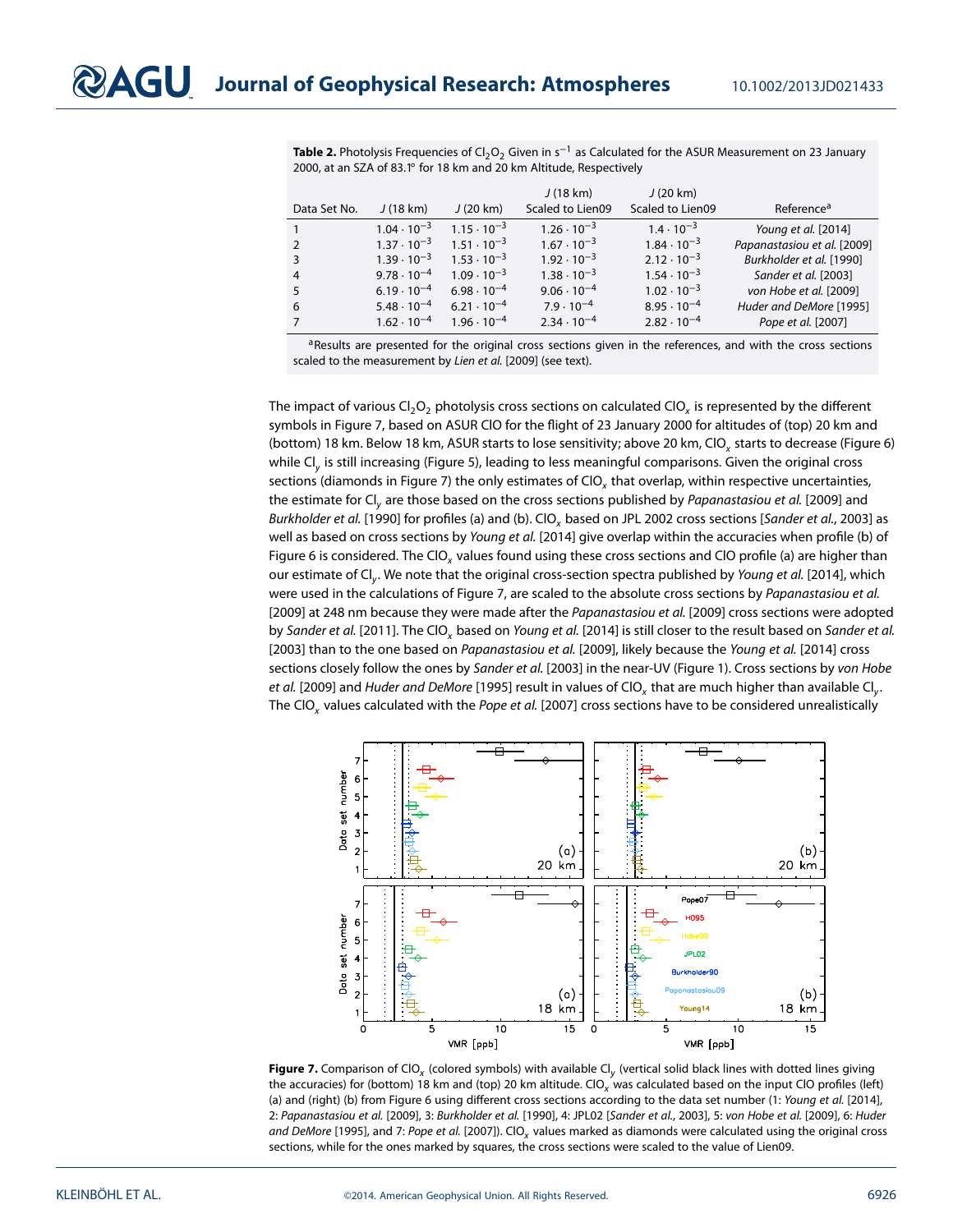<span id="page-10-0"></span>Table 2. Photolysis Frequencies of Cl<sub>2</sub>O<sub>2</sub> Given in s<sup>-1</sup> as Calculated for the ASUR Measurement on 23 January 2000, at an SZA of 83.1◦ for 18 km and 20 km Altitude, Respectively

|                |                      |                      | J(18 km)             | J(20 km)             |                             |
|----------------|----------------------|----------------------|----------------------|----------------------|-----------------------------|
| Data Set No.   | J(18 km)             | J(20 km)             | Scaled to Lien09     | Scaled to Lien09     | Reference <sup>a</sup>      |
| $\mathbf{1}$   | $1.04 \cdot 10^{-3}$ | $1.15 \cdot 10^{-3}$ | $1.26 \cdot 10^{-3}$ | $1.4 \cdot 10^{-3}$  | Young et al. [2014]         |
| $\overline{2}$ | $1.37 \cdot 10^{-3}$ | $1.51 \cdot 10^{-3}$ | $1.67 \cdot 10^{-3}$ | $1.84 \cdot 10^{-3}$ | Papanastasiou et al. [2009] |
| 3              | $1.39 \cdot 10^{-3}$ | $1.53 \cdot 10^{-3}$ | $1.92 \cdot 10^{-3}$ | $2.12 \cdot 10^{-3}$ | Burkholder et al. [1990]    |
| $\overline{4}$ | $9.78 \cdot 10^{-4}$ | $1.09 \cdot 10^{-3}$ | $1.38 \cdot 10^{-3}$ | $1.54 \cdot 10^{-3}$ | Sander et al. [2003]        |
| 5              | $6.19 \cdot 10^{-4}$ | $6.98 \cdot 10^{-4}$ | $9.06 \cdot 10^{-4}$ | $1.02 \cdot 10^{-3}$ | von Hobe et al. [2009]      |
| 6              | $5.48 \cdot 10^{-4}$ | $6.21 \cdot 10^{-4}$ | $7.9 \cdot 10^{-4}$  | $8.95 \cdot 10^{-4}$ | Huder and DeMore [1995]     |
| 7 <sup>7</sup> | $1.62 \cdot 10^{-4}$ | $1.96 \cdot 10^{-4}$ | $2.34 \cdot 10^{-4}$ | $2.82 \cdot 10^{-4}$ | Pope et al. [2007]          |

aResults are presented for the original cross sections given in the references, and with the cross sections scaled to the measurement by Lien et al. [2009] (see text).

The impact of various  $Cl_2O_2$  photolysis cross sections on calculated  $Cl_2$  is represented by the different symbols in Figure [7,](#page-10-1) based on ASUR ClO for the flight of 23 January 2000 for altitudes of (top) 20 km and (bottom) 18 km. Below 18 km, ASUR starts to lose sensitivity; above 20 km, ClO, starts to decrease (Figure [6\)](#page-9-0) while Cl<sub>y</sub> is still increasing (Figure [5\)](#page-7-2), leading to less meaningful comparisons. Given the original cross sections (diamonds in Figure [7\)](#page-10-1) the only estimates of  $\text{ClO}_v$  that overlap, within respective uncertainties, the estimate for Cl<sub>y</sub> are those based on the cross sections published by Papanastasiou et al. [2009] and Burkholder et al. [1990] for profiles (a) and (b). ClO<sub>x</sub> based on JPL 2002 cross sections [Sander et al., 2003] as well as based on cross sections by Young et al. [2014] give overlap within the accuracies when profile (b) of Figure [6](#page-9-0) is considered. The CIO<sub>x</sub> values found using these cross sections and CIO profile (a) are higher than our estimate of Cl<sub>y</sub>. We note that the original cross-section spectra published by Young et al. [2014], which were used in the calculations of Figure [7,](#page-10-1) are scaled to the absolute cross sections by Papanastasiou et al. [2009] at 248 nm because they were made after the Papanastasiou et al. [2009] cross sections were adopted by Sander et al. [2011]. The CIO<sub>x</sub> based on Young et al. [2014] is still closer to the result based on Sander et al. [2003] than to the one based on Papanastasiou et al. [2009], likely because the Young et al. [2014] cross sections closely follow the ones by Sander et al. [2003] in the near-UV (Figure [1\)](#page-2-0). Cross sections by von Hobe et al. [2009] and Huder and DeMore [1995] result in values of ClO<sub>x</sub> that are much higher than available Cl<sub>v</sub>. The CIO<sub>x</sub> values calculated with the Pope et al. [2007] cross sections have to be considered unrealistically



<span id="page-10-1"></span>**Figure 7.** Comparison of ClO<sub>x</sub> (colored symbols) with available Cl<sub>y</sub> (vertical solid black lines with dotted lines giving the accuracies) for (bottom) 18 km and (top) 20 km altitude. ClO<sub>x</sub> was calculated based on the input ClO profiles (left) (a) and (right) (b) from Figure [6](#page-9-0) using different cross sections according to the data set number (1: Young et al. [2014], 2: Papanastasiou et al. [2009], 3: Burkholder et al. [1990], 4: JPL02 [Sander et al., 2003], 5: von Hobe et al. [2009], 6: Huder and DeMore [1995], and 7: Pope et al. [2007]). ClO<sub>x</sub> values marked as diamonds were calculated using the original cross sections, while for the ones marked by squares, the cross sections were scaled to the value of Lien09.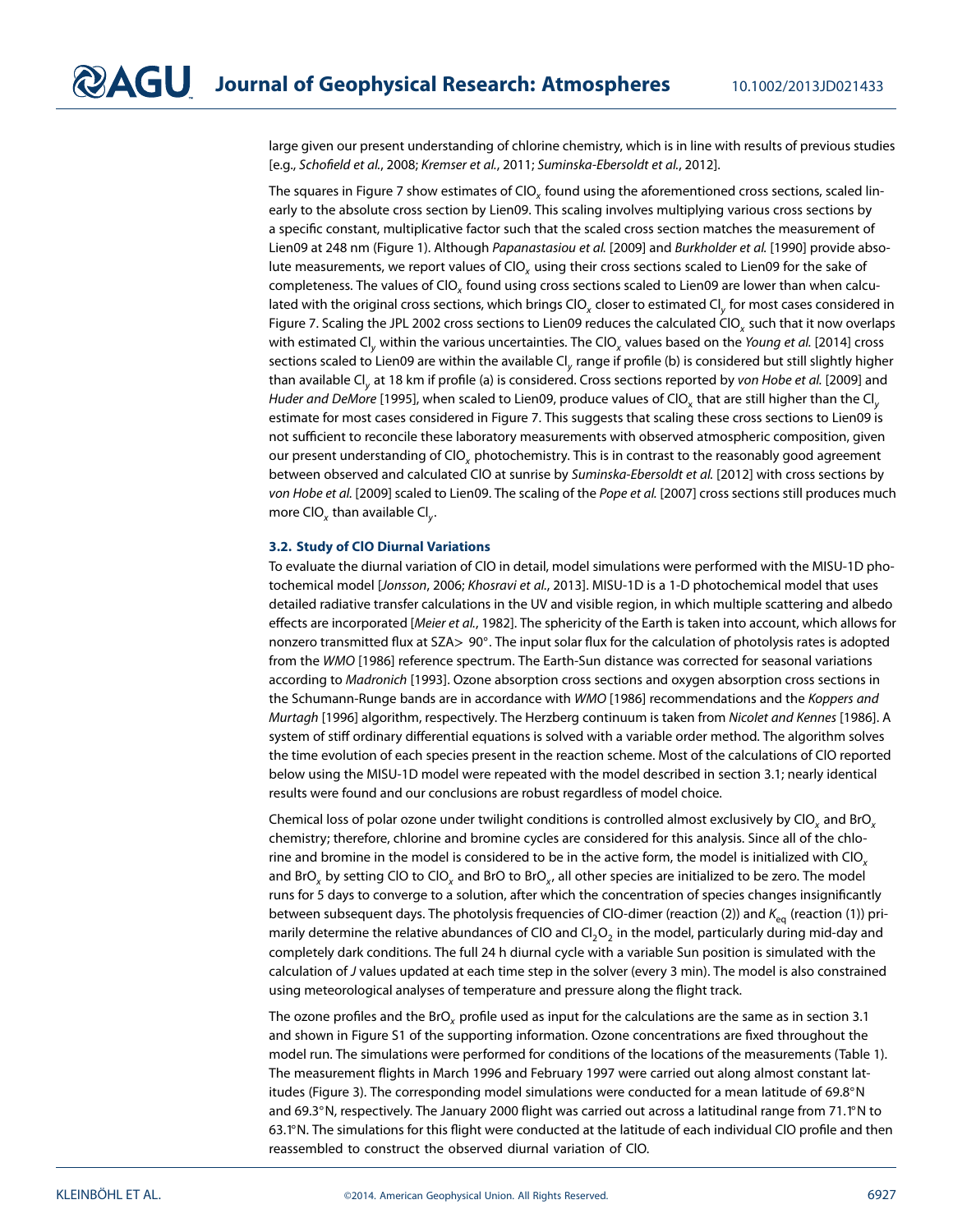large given our present understanding of chlorine chemistry, which is in line with results of previous studies [e.g., Schofield et al., 2008; Kremser et al., 2011; Suminska-Ebersoldt et al., 2012].

The squares in Figure [7](#page-10-1) show estimates of CIO<sub>x</sub> found using the aforementioned cross sections, scaled linearly to the absolute cross section by Lien09. This scaling involves multiplying various cross sections by a specific constant, multiplicative factor such that the scaled cross section matches the measurement of Lien09 at 248 nm (Figure [1\)](#page-2-0). Although Papanastasiou et al. [2009] and Burkholder et al. [1990] provide absolute measurements, we report values of CIO<sub>v</sub> using their cross sections scaled to Lien09 for the sake of completeness. The values of CIO<sub>x</sub> found using cross sections scaled to Lien09 are lower than when calculated with the original cross sections, which brings ClO<sub>x</sub> closer to estimated Cl<sub>y</sub> for most cases considered in Figure [7.](#page-10-1) Scaling the JPL 2002 cross sections to Lien09 reduces the calculated ClO<sub>y</sub> such that it now overlaps with estimated Cl<sub>y</sub> within the various uncertainties. The ClO<sub>x</sub> values based on the Young et al. [2014] cross sections scaled to Lien09 are within the available  $Cl<sub>v</sub>$  range if profile (b) is considered but still slightly higher than available Cl<sub>y</sub> at 18 km if profile (a) is considered. Cross sections reported by von Hobe et al. [2009] and Huder and DeMore [1995], when scaled to Lien09, produce values of CIO<sub>y</sub> that are still higher than the Cl<sub>y</sub> estimate for most cases considered in Figure [7.](#page-10-1) This suggests that scaling these cross sections to Lien09 is not sufficient to reconcile these laboratory measurements with observed atmospheric composition, given our present understanding of CIO<sub>v</sub> photochemistry. This is in contrast to the reasonably good agreement between observed and calculated ClO at sunrise by Suminska-Ebersoldt et al. [2012] with cross sections by von Hobe et al. [2009] scaled to Lien09. The scaling of the Pope et al. [2007] cross sections still produces much more ClO<sub>x</sub> than available Cl<sub>v</sub>.

#### <span id="page-11-0"></span>**3.2. Study of ClO Diurnal Variations**

To evaluate the diurnal variation of ClO in detail, model simulations were performed with the MISU-1D photochemical model [Jonsson, 2006; Khosravi et al., 2013]. MISU-1D is a 1-D photochemical model that uses detailed radiative transfer calculations in the UV and visible region, in which multiple scattering and albedo effects are incorporated [Meier et al., 1982]. The sphericity of the Earth is taken into account, which allows for nonzero transmitted flux at SZA*>* 90◦. The input solar flux for the calculation of photolysis rates is adopted from the WMO [1986] reference spectrum. The Earth-Sun distance was corrected for seasonal variations according to Madronich [1993]. Ozone absorption cross sections and oxygen absorption cross sections in the Schumann-Runge bands are in accordance with WMO [1986] recommendations and the Koppers and Murtagh [1996] algorithm, respectively. The Herzberg continuum is taken from Nicolet and Kennes [1986]. A system of stiff ordinary differential equations is solved with a variable order method. The algorithm solves the time evolution of each species present in the reaction scheme. Most of the calculations of ClO reported below using the MISU-1D model were repeated with the model described in section [3.1;](#page-8-1) nearly identical results were found and our conclusions are robust regardless of model choice.

Chemical loss of polar ozone under twilight conditions is controlled almost exclusively by ClO<sub>x</sub> and BrO<sub>x</sub> chemistry; therefore, chlorine and bromine cycles are considered for this analysis. Since all of the chlorine and bromine in the model is considered to be in the active form, the model is initialized with ClO<sub>x</sub> and BrO<sub>y</sub> by setting ClO to ClO<sub>y</sub> and BrO to BrO<sub>y</sub>, all other species are initialized to be zero. The model runs for 5 days to converge to a solution, after which the concentration of species changes insignificantly between subsequent days. The photolysis frequencies of CIO-dimer (reaction [\(2\)](#page-0-0)) and  $K_{eq}$  (reaction [\(1\)](#page-0-1)) primarily determine the relative abundances of CIO and  $Cl_2O_2$  in the model, particularly during mid-day and completely dark conditions. The full 24 h diurnal cycle with a variable Sun position is simulated with the calculation of J values updated at each time step in the solver (every 3 min). The model is also constrained using meteorological analyses of temperature and pressure along the flight track.

The ozone profiles and the BrO<sub>y</sub> profile used as input for the calculations are the same as in section [3.1](#page-8-1) and shown in Figure S1 of the supporting information. Ozone concentrations are fixed throughout the model run. The simulations were performed for conditions of the locations of the measurements (Table [1\)](#page-5-1). The measurement flights in March 1996 and February 1997 were carried out along almost constant latitudes (Figure [3\)](#page-6-0). The corresponding model simulations were conducted for a mean latitude of 69.8◦N and 69.3◦N, respectively. The January 2000 flight was carried out across a latitudinal range from 71.1◦N to 63.1◦N. The simulations for this flight were conducted at the latitude of each individual ClO profile and then reassembled to construct the observed diurnal variation of ClO.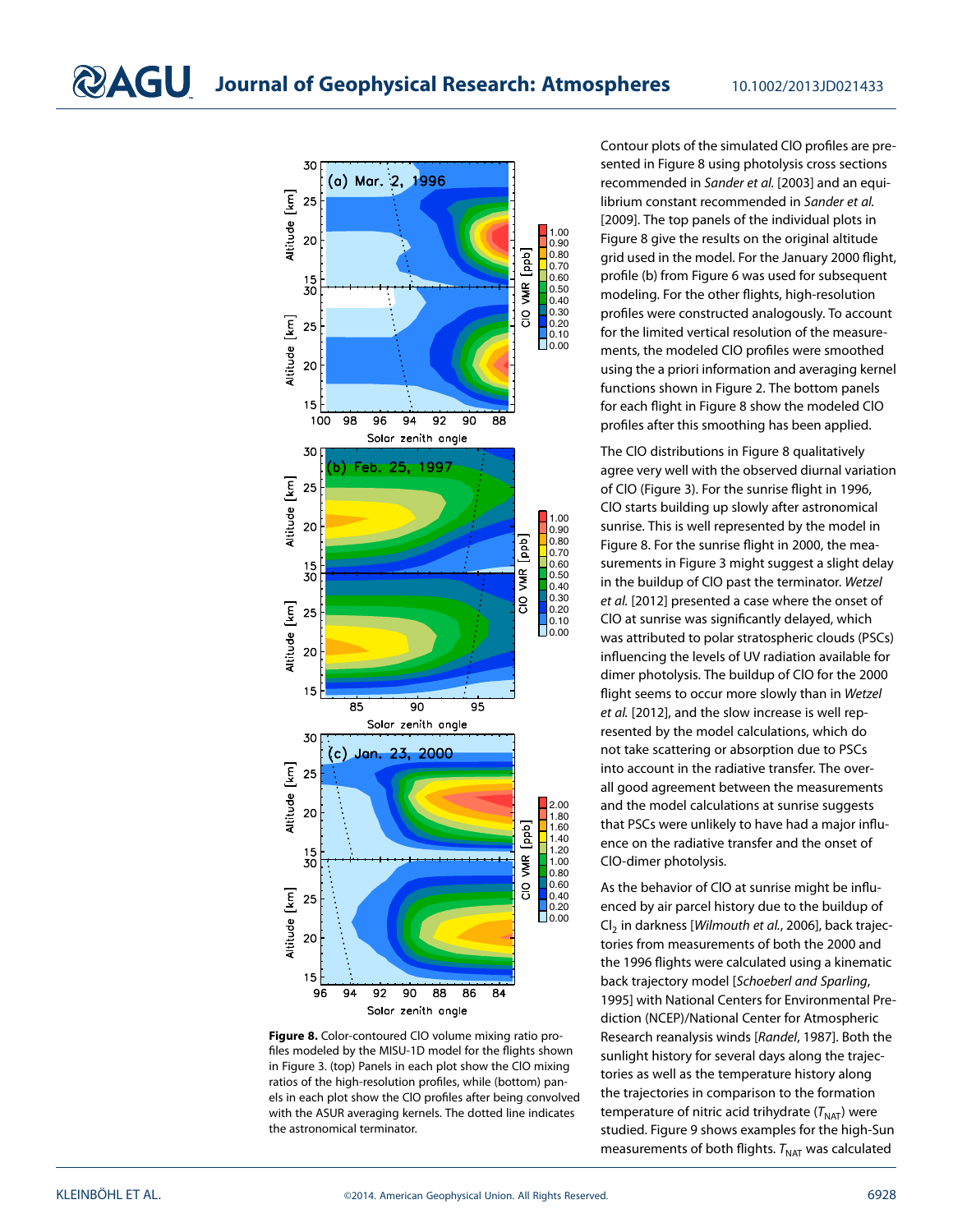

<span id="page-12-0"></span>**Figure 8.** Color-contoured ClO volume mixing ratio profiles modeled by the MISU-1D model for the flights shown in Figure [3.](#page-6-0) (top) Panels in each plot show the ClO mixing ratios of the high-resolution profiles, while (bottom) panels in each plot show the ClO profiles after being convolved with the ASUR averaging kernels. The dotted line indicates the astronomical terminator.

Contour plots of the simulated ClO profiles are presented in Figure [8](#page-12-0) using photolysis cross sections recommended in Sander et al. [2003] and an equilibrium constant recommended in Sander et al. [2009]. The top panels of the individual plots in Figure [8](#page-12-0) give the results on the original altitude grid used in the model. For the January 2000 flight, profile (b) from Figure [6](#page-9-0) was used for subsequent modeling. For the other flights, high-resolution profiles were constructed analogously. To account for the limited vertical resolution of the measurements, the modeled ClO profiles were smoothed using the a priori information and averaging kernel functions shown in Figure [2.](#page-5-0) The bottom panels for each flight in Figure [8](#page-12-0) show the modeled ClO profiles after this smoothing has been applied.

The ClO distributions in Figure [8](#page-12-0) qualitatively agree very well with the observed diurnal variation of ClO (Figure [3\)](#page-6-0). For the sunrise flight in 1996, ClO starts building up slowly after astronomical sunrise. This is well represented by the model in Figure [8.](#page-12-0) For the sunrise flight in 2000, the measurements in Figure [3](#page-6-0) might suggest a slight delay in the buildup of ClO past the terminator. Wetzel et al. [2012] presented a case where the onset of ClO at sunrise was significantly delayed, which was attributed to polar stratospheric clouds (PSCs) influencing the levels of UV radiation available for dimer photolysis. The buildup of ClO for the 2000 flight seems to occur more slowly than in Wetzel et al. [2012], and the slow increase is well represented by the model calculations, which do not take scattering or absorption due to PSCs into account in the radiative transfer. The overall good agreement between the measurements and the model calculations at sunrise suggests that PSCs were unlikely to have had a major influence on the radiative transfer and the onset of ClO-dimer photolysis.

As the behavior of ClO at sunrise might be influenced by air parcel history due to the buildup of  $Cl<sub>2</sub>$  in darkness [Wilmouth et al., 2006], back trajectories from measurements of both the 2000 and the 1996 flights were calculated using a kinematic back trajectory model [Schoeberl and Sparling, 1995] with National Centers for Environmental Prediction (NCEP)/National Center for Atmospheric Research reanalysis winds [Randel, 1987]. Both the sunlight history for several days along the trajectories as well as the temperature history along the trajectories in comparison to the formation temperature of nitric acid trihydrate  $(T<sub>NAT</sub>)$  were studied. Figure [9](#page-13-0) shows examples for the high-Sun measurements of both flights.  $T_{\text{NAT}}$  was calculated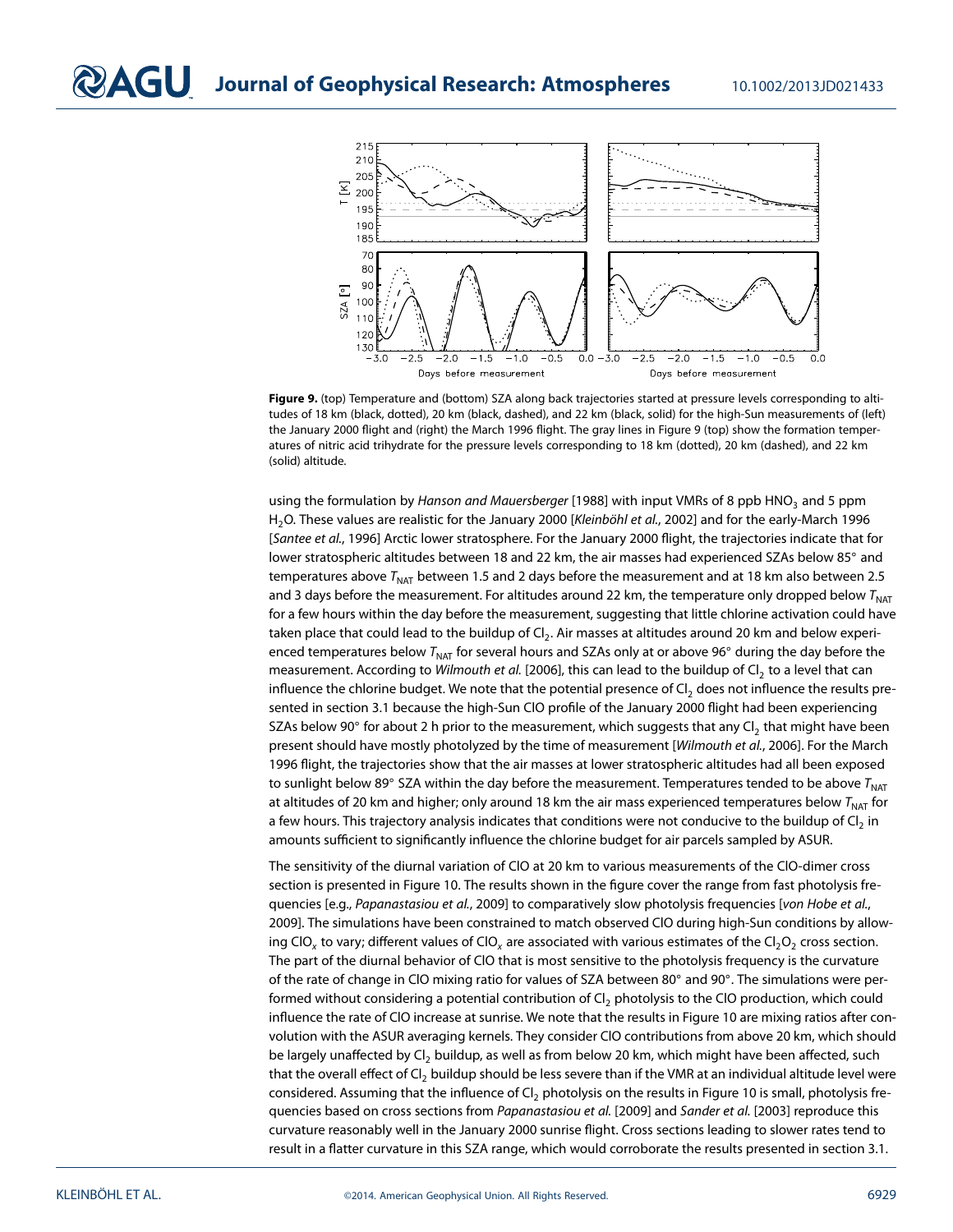

<span id="page-13-0"></span>**Figure 9.** (top) Temperature and (bottom) SZA along back trajectories started at pressure levels corresponding to altitudes of 18 km (black, dotted), 20 km (black, dashed), and 22 km (black, solid) for the high-Sun measurements of (left) the January 2000 flight and (right) the March 1996 flight. The gray lines in Figure [9](#page-13-0) (top) show the formation temperatures of nitric acid trihydrate for the pressure levels corresponding to 18 km (dotted), 20 km (dashed), and 22 km (solid) altitude.

using the formulation by Hanson and Mauersberger [1988] with input VMRs of 8 ppb HNO<sub>2</sub> and 5 ppm H<sub>2</sub>O. These values are realistic for the January 2000 [Kleinböhl et al., 2002] and for the early-March 1996 [Santee et al., 1996] Arctic lower stratosphere. For the January 2000 flight, the trajectories indicate that for lower stratospheric altitudes between 18 and 22 km, the air masses had experienced SZAs below 85◦ and temperatures above  $T_{\text{NAT}}$  between 1.5 and 2 days before the measurement and at 18 km also between 2.5 and 3 days before the measurement. For altitudes around 22 km, the temperature only dropped below  $T<sub>NAT</sub>$ for a few hours within the day before the measurement, suggesting that little chlorine activation could have taken place that could lead to the buildup of  $Cl<sub>2</sub>$ . Air masses at altitudes around 20 km and below experienced temperatures below  $T<sub>NAT</sub>$  for several hours and SZAs only at or above 96 $\degree$  during the day before the measurement. According to Wilmouth et al. [2006], this can lead to the buildup of Cl<sub>2</sub> to a level that can influence the chlorine budget. We note that the potential presence of  $Cl_2$  does not influence the results presented in section [3.1](#page-8-1) because the high-Sun ClO profile of the January 2000 flight had been experiencing SZAs below 90 $\degree$  for about 2 h prior to the measurement, which suggests that any Cl<sub>2</sub> that might have been present should have mostly photolyzed by the time of measurement [Wilmouth et al., 2006]. For the March 1996 flight, the trajectories show that the air masses at lower stratospheric altitudes had all been exposed to sunlight below 89° SZA within the day before the measurement. Temperatures tended to be above  $T<sub>NAT</sub>$ at altitudes of 20 km and higher; only around 18 km the air mass experienced temperatures below  $T_{\text{NAT}}$  for a few hours. This trajectory analysis indicates that conditions were not conducive to the buildup of  $Cl<sub>2</sub>$  in amounts sufficient to significantly influence the chlorine budget for air parcels sampled by ASUR.

The sensitivity of the diurnal variation of ClO at 20 km to various measurements of the ClO-dimer cross section is presented in Figure [10.](#page-14-1) The results shown in the figure cover the range from fast photolysis frequencies [e.g., Papanastasiou et al., 2009] to comparatively slow photolysis frequencies [von Hobe et al., 2009]. The simulations have been constrained to match observed ClO during high-Sun conditions by allowing ClO<sub>y</sub> to vary; different values of ClO<sub>y</sub> are associated with various estimates of the Cl<sub>2</sub>O<sub>2</sub> cross section. The part of the diurnal behavior of ClO that is most sensitive to the photolysis frequency is the curvature of the rate of change in ClO mixing ratio for values of SZA between 80◦ and 90◦. The simulations were performed without considering a potential contribution of Cl<sub>2</sub> photolysis to the ClO production, which could influence the rate of ClO increase at sunrise. We note that the results in Figure [10](#page-14-1) are mixing ratios after convolution with the ASUR averaging kernels. They consider ClO contributions from above 20 km, which should be largely unaffected by Cl<sub>2</sub> buildup, as well as from below 20 km, which might have been affected, such that the overall effect of Cl<sub>2</sub> buildup should be less severe than if the VMR at an individual altitude level were considered. Assuming that the influence of  $Cl_2$  photolysis on the results in Figure [10](#page-14-1) is small, photolysis frequencies based on cross sections from Papanastasiou et al. [2009] and Sander et al. [2003] reproduce this curvature reasonably well in the January 2000 sunrise flight. Cross sections leading to slower rates tend to result in a flatter curvature in this SZA range, which would corroborate the results presented in section [3.1.](#page-8-1)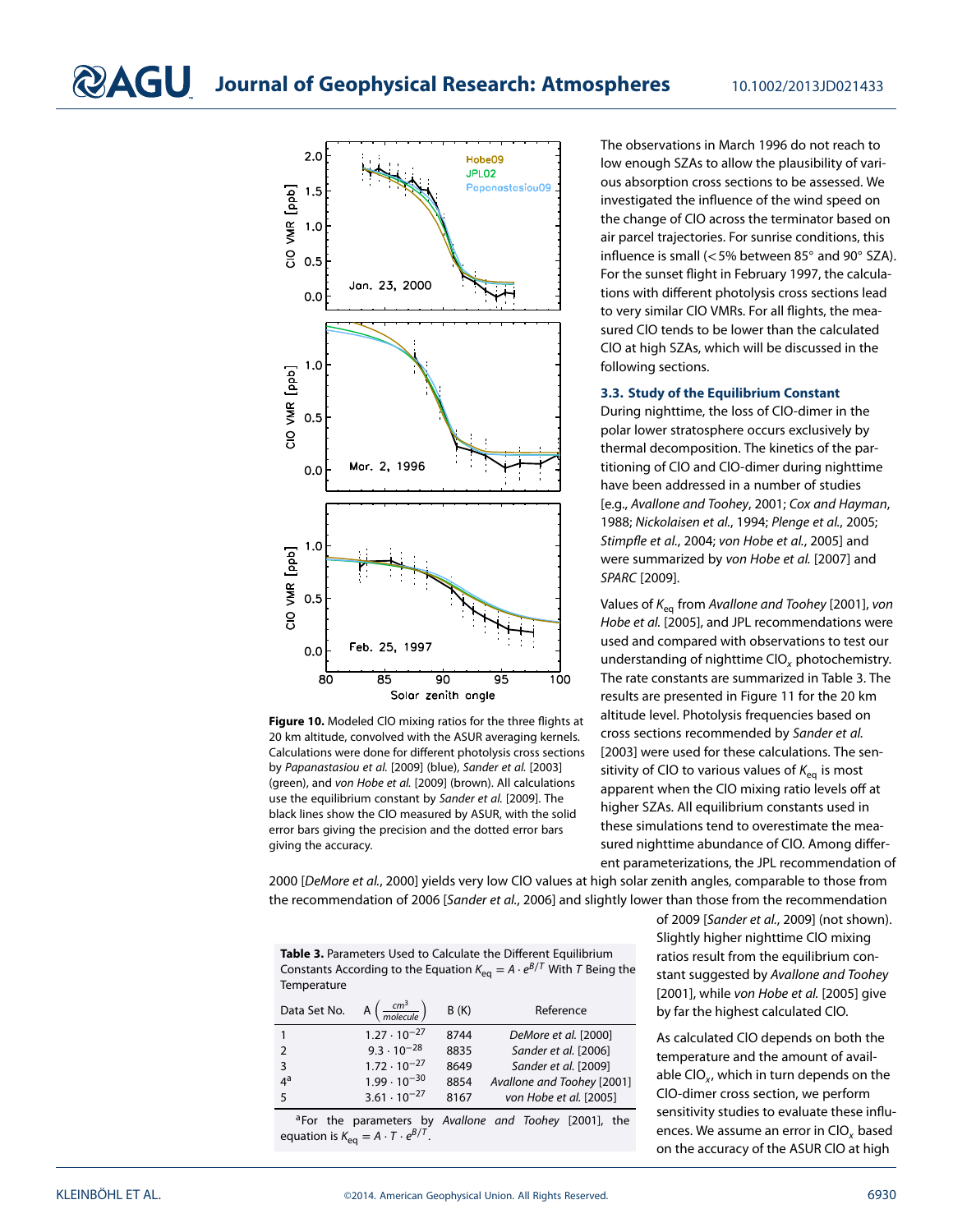<span id="page-14-0"></span>

<span id="page-14-1"></span>**Figure 10.** Modeled ClO mixing ratios for the three flights at 20 km altitude, convolved with the ASUR averaging kernels. Calculations were done for different photolysis cross sections by Papanastasiou et al. [2009] (blue), Sander et al. [2003] (green), and von Hobe et al. [2009] (brown). All calculations use the equilibrium constant by Sander et al. [2009]. The black lines show the ClO measured by ASUR, with the solid error bars giving the precision and the dotted error bars giving the accuracy.

The observations in March 1996 do not reach to low enough SZAs to allow the plausibility of various absorption cross sections to be assessed. We investigated the influence of the wind speed on the change of ClO across the terminator based on air parcel trajectories. For sunrise conditions, this influence is small (*<*5% between 85◦ and 90◦ SZA). For the sunset flight in February 1997, the calculations with different photolysis cross sections lead to very similar ClO VMRs. For all flights, the measured ClO tends to be lower than the calculated ClO at high SZAs, which will be discussed in the following sections.

#### **3.3. Study of the Equilibrium Constant**

During nighttime, the loss of ClO-dimer in the polar lower stratosphere occurs exclusively by thermal decomposition. The kinetics of the partitioning of ClO and ClO-dimer during nighttime have been addressed in a number of studies [e.g., Avallone and Toohey, 2001; Cox and Hayman, 1988; Nickolaisen et al., 1994; Plenge et al., 2005; Stimpfle et al., 2004; von Hobe et al., 2005] and were summarized by von Hobe et al. [2007] and SPARC [2009].

Values of  $K_{eq}$  from Avallone and Toohey [2001], von Hobe et al. [2005], and JPL recommendations were used and compared with observations to test our understanding of nighttime  $CIO<sub>x</sub>$  photochemistry. The rate constants are summarized in Table [3.](#page-14-2) The results are presented in Figure [11](#page-15-1) for the 20 km altitude level. Photolysis frequencies based on cross sections recommended by Sander et al. [2003] were used for these calculations. The sensitivity of CIO to various values of  $K_{eq}$  is most apparent when the ClO mixing ratio levels off at higher SZAs. All equilibrium constants used in these simulations tend to overestimate the measured nighttime abundance of ClO. Among different parameterizations, the JPL recommendation of

2000 [DeMore et al., 2000] yields very low ClO values at high solar zenith angles, comparable to those from the recommendation of 2006 [Sander et al., 2006] and slightly lower than those from the recommendation

<span id="page-14-2"></span>**Table 3.** Parameters Used to Calculate the Different Equilibrium Constants According to the Equation  $K_{eq} = A \cdot e^{B/T}$  With T Being the **Temperature** 

| Data Set No.  | $\frac{cm^3}{molecule}$<br>A | B(K) | Reference                  |
|---------------|------------------------------|------|----------------------------|
|               | $1.27 \cdot 10^{-27}$        | 8744 | DeMore et al. [2000]       |
| $\mathcal{P}$ | $9.3 \cdot 10^{-28}$         | 8835 | Sander et al. [2006]       |
| 3             | $1.72 \cdot 10^{-27}$        | 8649 | Sander et al. [2009]       |
| 4ª            | $1.99 \cdot 10^{-30}$        | 8854 | Avallone and Toohey [2001] |
| 5             | $3.61 \cdot 10^{-27}$        | 8167 | von Hobe et al. [2005]     |

aFor the parameters by Avallone and Toohey [2001], the equation is  $K_{eq} = A \cdot T \cdot e^{B/T}$ .

of 2009 [Sander et al., 2009] (not shown). Slightly higher nighttime ClO mixing ratios result from the equilibrium constant suggested by Avallone and Toohey [2001], while von Hobe et al. [2005] give by far the highest calculated ClO.

As calculated ClO depends on both the temperature and the amount of available CIO $_{x}$ , which in turn depends on the ClO-dimer cross section, we perform sensitivity studies to evaluate these influences. We assume an error in  $ClO<sub>x</sub>$  based on the accuracy of the ASUR ClO at high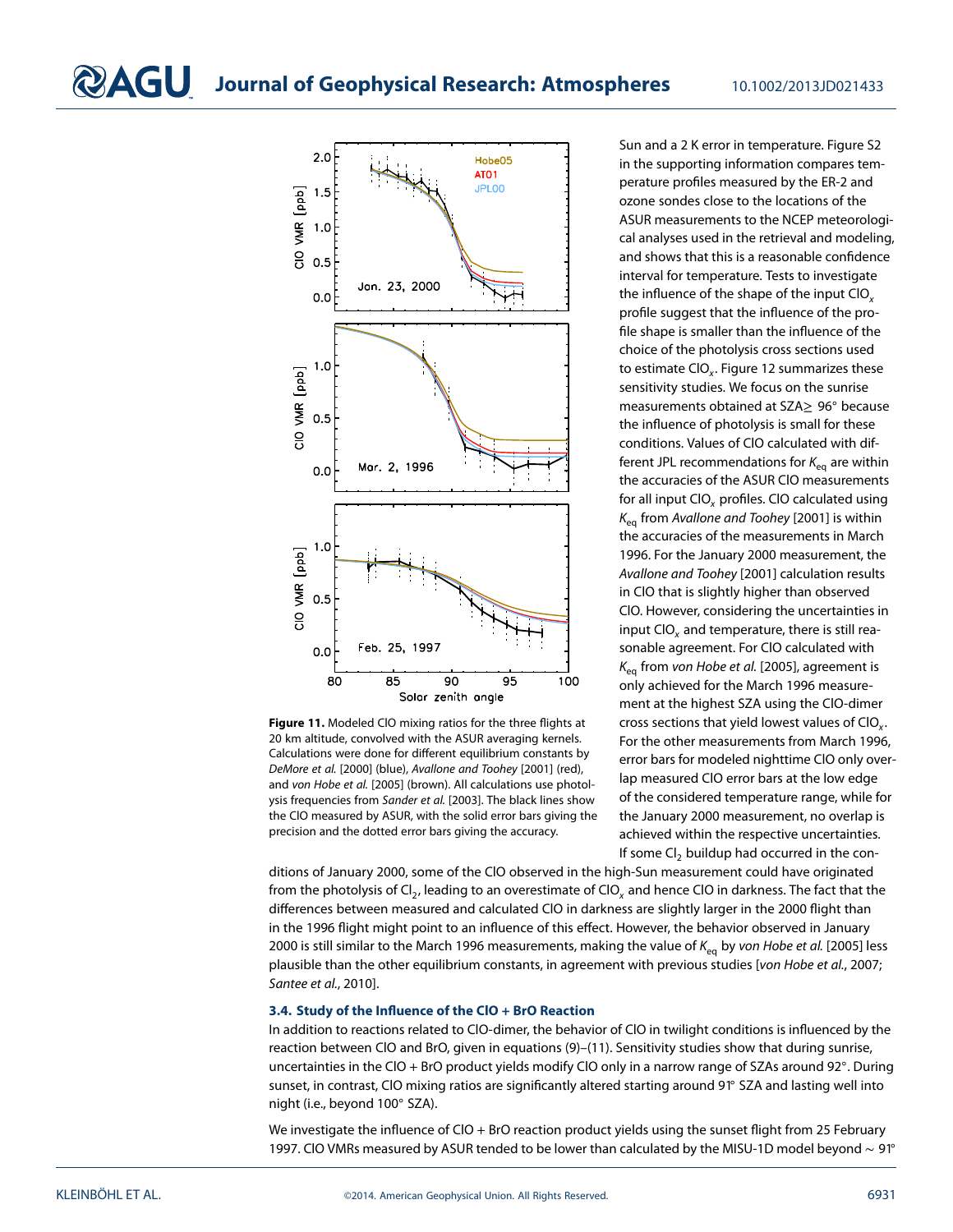

<span id="page-15-1"></span>**Figure 11.** Modeled ClO mixing ratios for the three flights at 20 km altitude, convolved with the ASUR averaging kernels. Calculations were done for different equilibrium constants by DeMore et al. [2000] (blue), Avallone and Toohey [2001] (red), and von Hobe et al. [2005] (brown). All calculations use photolysis frequencies from Sander et al. [2003]. The black lines show the ClO measured by ASUR, with the solid error bars giving the precision and the dotted error bars giving the accuracy.

Sun and a 2 K error in temperature. Figure S2 in the supporting information compares temperature profiles measured by the ER-2 and ozone sondes close to the locations of the ASUR measurements to the NCEP meteorological analyses used in the retrieval and modeling, and shows that this is a reasonable confidence interval for temperature. Tests to investigate the influence of the shape of the input  $ClO<sub>x</sub>$ profile suggest that the influence of the profile shape is smaller than the influence of the choice of the photolysis cross sections used to estimate  $CIO<sub>x</sub>$ . Figure [12](#page-16-0) summarizes these sensitivity studies. We focus on the sunrise measurements obtained at SZA≥ 96◦ because the influence of photolysis is small for these conditions. Values of ClO calculated with different JPL recommendations for  $K_{eq}$  are within the accuracies of the ASUR ClO measurements for all input  $CIO<sub>x</sub>$  profiles. CIO calculated using  $K_{\text{eq}}$  from Avallone and Toohey [2001] is within the accuracies of the measurements in March 1996. For the January 2000 measurement, the Avallone and Toohey [2001] calculation results in ClO that is slightly higher than observed ClO. However, considering the uncertainties in input CIO<sub>x</sub> and temperature, there is still reasonable agreement. For ClO calculated with  $K_{\text{eq}}$  from von Hobe et al. [2005], agreement is only achieved for the March 1996 measurement at the highest SZA using the ClO-dimer cross sections that yield lowest values of ClO<sub>x</sub>. For the other measurements from March 1996, error bars for modeled nighttime ClO only overlap measured ClO error bars at the low edge of the considered temperature range, while for the January 2000 measurement, no overlap is achieved within the respective uncertainties. If some  $\text{Cl}_2$  buildup had occurred in the con-

ditions of January 2000, some of the ClO observed in the high-Sun measurement could have originated from the photolysis of Cl<sub>2</sub>, leading to an overestimate of ClO<sub>x</sub> and hence ClO in darkness. The fact that the differences between measured and calculated ClO in darkness are slightly larger in the 2000 flight than in the 1996 flight might point to an influence of this effect. However, the behavior observed in January 2000 is still similar to the March 1996 measurements, making the value of  $K_{eq}$  by von Hobe et al. [2005] less plausible than the other equilibrium constants, in agreement with previous studies [von Hobe et al., 2007; Santee et al., 2010].

#### <span id="page-15-0"></span>**3.4. Study of the Influence of the ClO + BrO Reaction**

In addition to reactions related to ClO-dimer, the behavior of ClO in twilight conditions is influenced by the reaction between ClO and BrO, given in equations [\(9\)](#page-3-0)–[\(11\)](#page-3-1). Sensitivity studies show that during sunrise, uncertainties in the ClO + BrO product yields modify ClO only in a narrow range of SZAs around 92◦. During sunset, in contrast, ClO mixing ratios are significantly altered starting around 91◦ SZA and lasting well into night (i.e., beyond 100◦ SZA).

We investigate the influence of CIO + BrO reaction product yields using the sunset flight from 25 February 1997. ClO VMRs measured by ASUR tended to be lower than calculated by the MISU-1D model beyond ∼ 91◦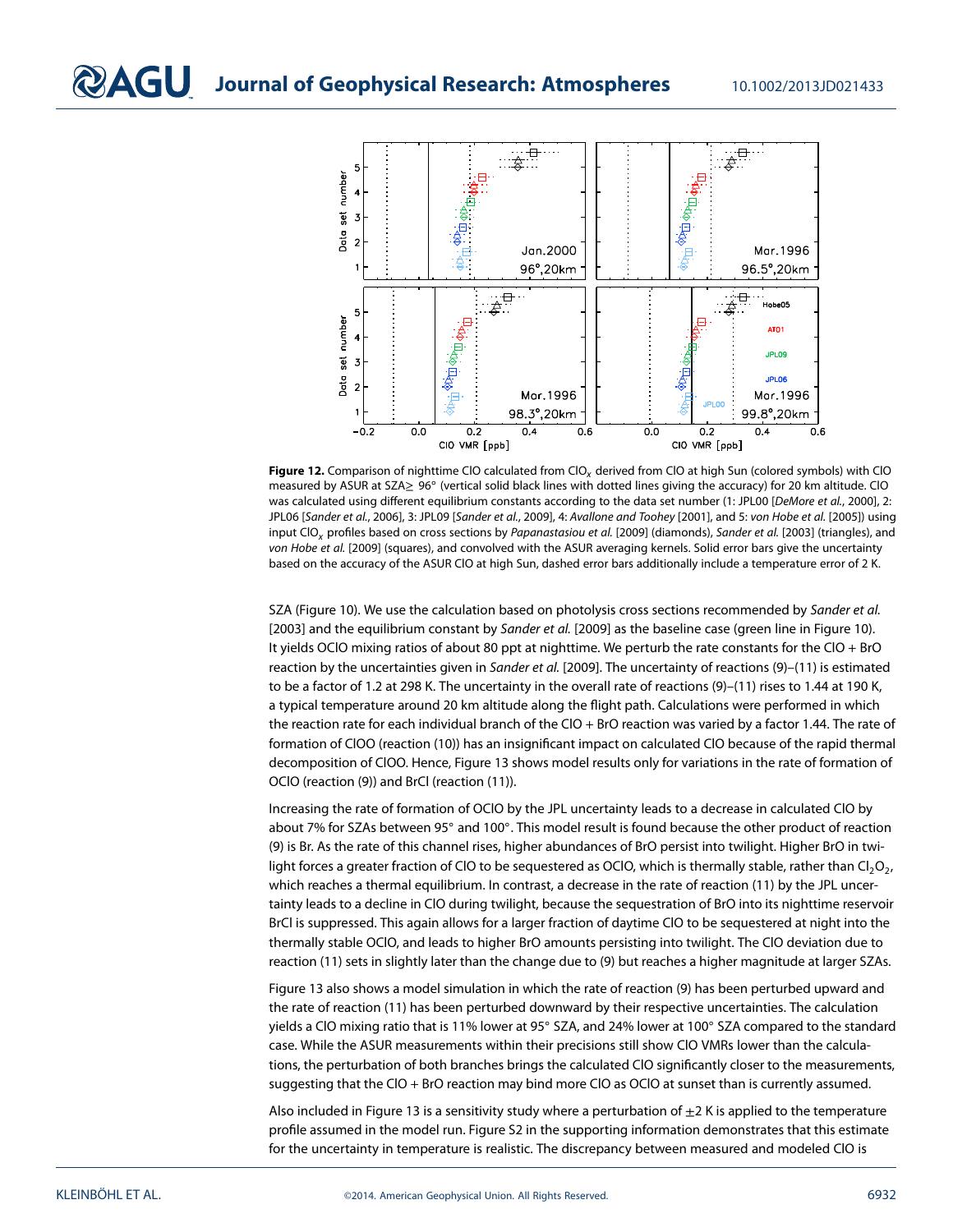

<span id="page-16-0"></span>Figure 12. Comparison of nighttime CIO calculated from CIO<sub>x</sub> derived from CIO at high Sun (colored symbols) with CIO measured by ASUR at SZA≥ 96◦ (vertical solid black lines with dotted lines giving the accuracy) for 20 km altitude. ClO was calculated using different equilibrium constants according to the data set number (1: JPL00 [DeMore et al., 2000], 2: JPL06 [Sander et al., 2006], 3: JPL09 [Sander et al., 2009], 4: Avallone and Toohey [2001], and 5: von Hobe et al. [2005]) using input ClO<sub>x</sub> profiles based on cross sections by Papanastasiou et al. [2009] (diamonds), Sander et al. [2003] (triangles), and von Hobe et al. [2009] (squares), and convolved with the ASUR averaging kernels. Solid error bars give the uncertainty based on the accuracy of the ASUR ClO at high Sun, dashed error bars additionally include a temperature error of 2 K.

SZA (Figure [10\)](#page-14-1). We use the calculation based on photolysis cross sections recommended by Sander et al. [2003] and the equilibrium constant by Sander et al. [2009] as the baseline case (green line in Figure [10\)](#page-14-1). It yields OClO mixing ratios of about 80 ppt at nighttime. We perturb the rate constants for the ClO + BrO reaction by the uncertainties given in Sander et al. [2009]. The uncertainty of reactions [\(9\)](#page-3-0)-[\(11\)](#page-3-1) is estimated to be a factor of 1.2 at 298 K. The uncertainty in the overall rate of reactions [\(9\)](#page-3-0)–[\(11\)](#page-3-1) rises to 1.44 at 190 K, a typical temperature around 20 km altitude along the flight path. Calculations were performed in which the reaction rate for each individual branch of the CIO + BrO reaction was varied by a factor 1.44. The rate of formation of ClOO (reaction [\(10\)](#page-3-2)) has an insignificant impact on calculated ClO because of the rapid thermal decomposition of ClOO. Hence, Figure [13](#page-17-0) shows model results only for variations in the rate of formation of OClO (reaction [\(9\)](#page-3-0)) and BrCl (reaction [\(11\)](#page-3-1)).

Increasing the rate of formation of OClO by the JPL uncertainty leads to a decrease in calculated ClO by about 7% for SZAs between 95◦ and 100◦. This model result is found because the other product of reaction [\(9\)](#page-3-0) is Br. As the rate of this channel rises, higher abundances of BrO persist into twilight. Higher BrO in twilight forces a greater fraction of CIO to be sequestered as OCIO, which is thermally stable, rather than  $Cl_2O_{2}$ , which reaches a thermal equilibrium. In contrast, a decrease in the rate of reaction [\(11\)](#page-3-1) by the JPL uncertainty leads to a decline in ClO during twilight, because the sequestration of BrO into its nighttime reservoir BrCl is suppressed. This again allows for a larger fraction of daytime ClO to be sequestered at night into the thermally stable OClO, and leads to higher BrO amounts persisting into twilight. The ClO deviation due to reaction [\(11\)](#page-3-1) sets in slightly later than the change due to [\(9\)](#page-3-0) but reaches a higher magnitude at larger SZAs.

Figure [13](#page-17-0) also shows a model simulation in which the rate of reaction [\(9\)](#page-3-0) has been perturbed upward and the rate of reaction [\(11\)](#page-3-1) has been perturbed downward by their respective uncertainties. The calculation yields a ClO mixing ratio that is 11% lower at 95◦ SZA, and 24% lower at 100◦ SZA compared to the standard case. While the ASUR measurements within their precisions still show ClO VMRs lower than the calculations, the perturbation of both branches brings the calculated ClO significantly closer to the measurements, suggesting that the ClO + BrO reaction may bind more ClO as OClO at sunset than is currently assumed.

Also included in Figure [13](#page-17-0) is a sensitivity study where a perturbation of  $\pm 2$  K is applied to the temperature profile assumed in the model run. Figure S2 in the supporting information demonstrates that this estimate for the uncertainty in temperature is realistic. The discrepancy between measured and modeled ClO is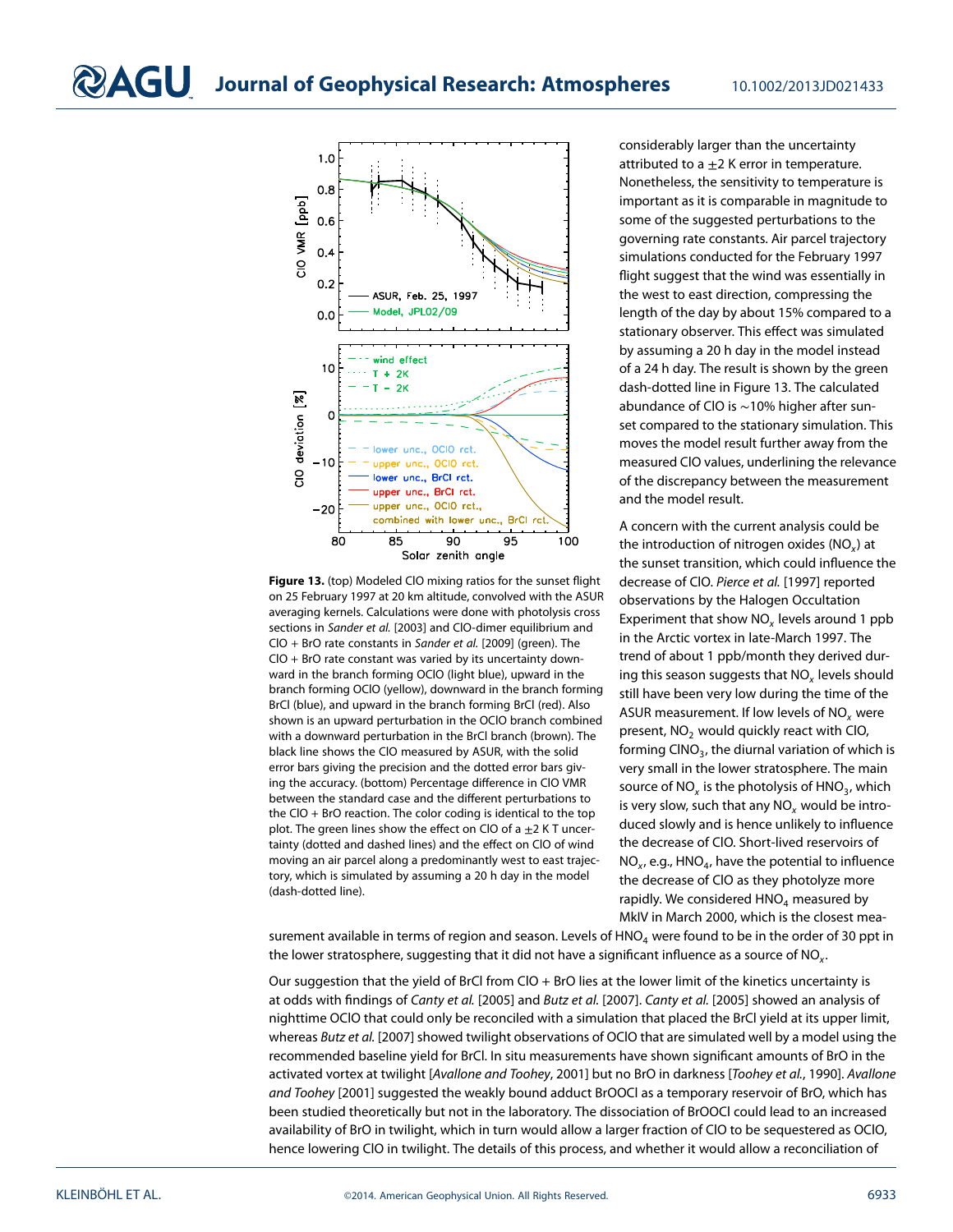

<span id="page-17-0"></span>**Figure 13.** (top) Modeled ClO mixing ratios for the sunset flight on 25 February 1997 at 20 km altitude, convolved with the ASUR averaging kernels. Calculations were done with photolysis cross sections in Sander et al. [2003] and ClO-dimer equilibrium and ClO + BrO rate constants in Sander et al. [2009] (green). The ClO + BrO rate constant was varied by its uncertainty downward in the branch forming OClO (light blue), upward in the branch forming OClO (yellow), downward in the branch forming BrCl (blue), and upward in the branch forming BrCl (red). Also shown is an upward perturbation in the OClO branch combined with a downward perturbation in the BrCl branch (brown). The black line shows the ClO measured by ASUR, with the solid error bars giving the precision and the dotted error bars giving the accuracy. (bottom) Percentage difference in ClO VMR between the standard case and the different perturbations to the ClO + BrO reaction. The color coding is identical to the top plot. The green lines show the effect on ClO of a  $\pm$ 2 K T uncertainty (dotted and dashed lines) and the effect on ClO of wind moving an air parcel along a predominantly west to east trajectory, which is simulated by assuming a 20 h day in the model (dash-dotted line).

considerably larger than the uncertainty attributed to a  $\pm 2$  K error in temperature. Nonetheless, the sensitivity to temperature is important as it is comparable in magnitude to some of the suggested perturbations to the governing rate constants. Air parcel trajectory simulations conducted for the February 1997 flight suggest that the wind was essentially in the west to east direction, compressing the length of the day by about 15% compared to a stationary observer. This effect was simulated by assuming a 20 h day in the model instead of a 24 h day. The result is shown by the green dash-dotted line in Figure [13.](#page-17-0) The calculated abundance of ClO is ∼10% higher after sunset compared to the stationary simulation. This moves the model result further away from the measured ClO values, underlining the relevance of the discrepancy between the measurement and the model result.

A concern with the current analysis could be the introduction of nitrogen oxides ( $NO<sub>x</sub>$ ) at the sunset transition, which could influence the decrease of ClO. Pierce et al. [1997] reported observations by the Halogen Occultation Experiment that show  $NO<sub>x</sub>$  levels around 1 ppb in the Arctic vortex in late-March 1997. The trend of about 1 ppb/month they derived during this season suggests that  $NO<sub>x</sub>$  levels should still have been very low during the time of the ASUR measurement. If low levels of  $NO<sub>x</sub>$  were present,  $NO<sub>2</sub>$  would quickly react with ClO, forming CINO $_3$ , the diurnal variation of which is very small in the lower stratosphere. The main source of  $NO<sub>x</sub>$  is the photolysis of  $HNO<sub>3</sub>$ , which is very slow, such that any  $NO<sub>x</sub>$  would be introduced slowly and is hence unlikely to influence the decrease of ClO. Short-lived reservoirs of  $NO<sub>xy</sub>$  e.g., HNO<sub>4</sub>, have the potential to influence the decrease of ClO as they photolyze more rapidly. We considered  $HNO<sub>4</sub>$  measured by MkIV in March 2000, which is the closest mea-

surement available in terms of region and season. Levels of HNO<sub>4</sub> were found to be in the order of 30 ppt in the lower stratosphere, suggesting that it did not have a significant influence as a source of  $NO<sub>x</sub>$ .

Our suggestion that the yield of BrCl from CIO  $+$  BrO lies at the lower limit of the kinetics uncertainty is at odds with findings of Canty et al. [2005] and Butz et al. [2007]. Canty et al. [2005] showed an analysis of nighttime OClO that could only be reconciled with a simulation that placed the BrCl yield at its upper limit, whereas Butz et al. [2007] showed twilight observations of OClO that are simulated well by a model using the recommended baseline yield for BrCl. In situ measurements have shown significant amounts of BrO in the activated vortex at twilight [Avallone and Toohey, 2001] but no BrO in darkness [Toohey et al., 1990]. Avallone and Toohey [2001] suggested the weakly bound adduct BrOOCl as a temporary reservoir of BrO, which has been studied theoretically but not in the laboratory. The dissociation of BrOOCl could lead to an increased availability of BrO in twilight, which in turn would allow a larger fraction of ClO to be sequestered as OClO, hence lowering ClO in twilight. The details of this process, and whether it would allow a reconciliation of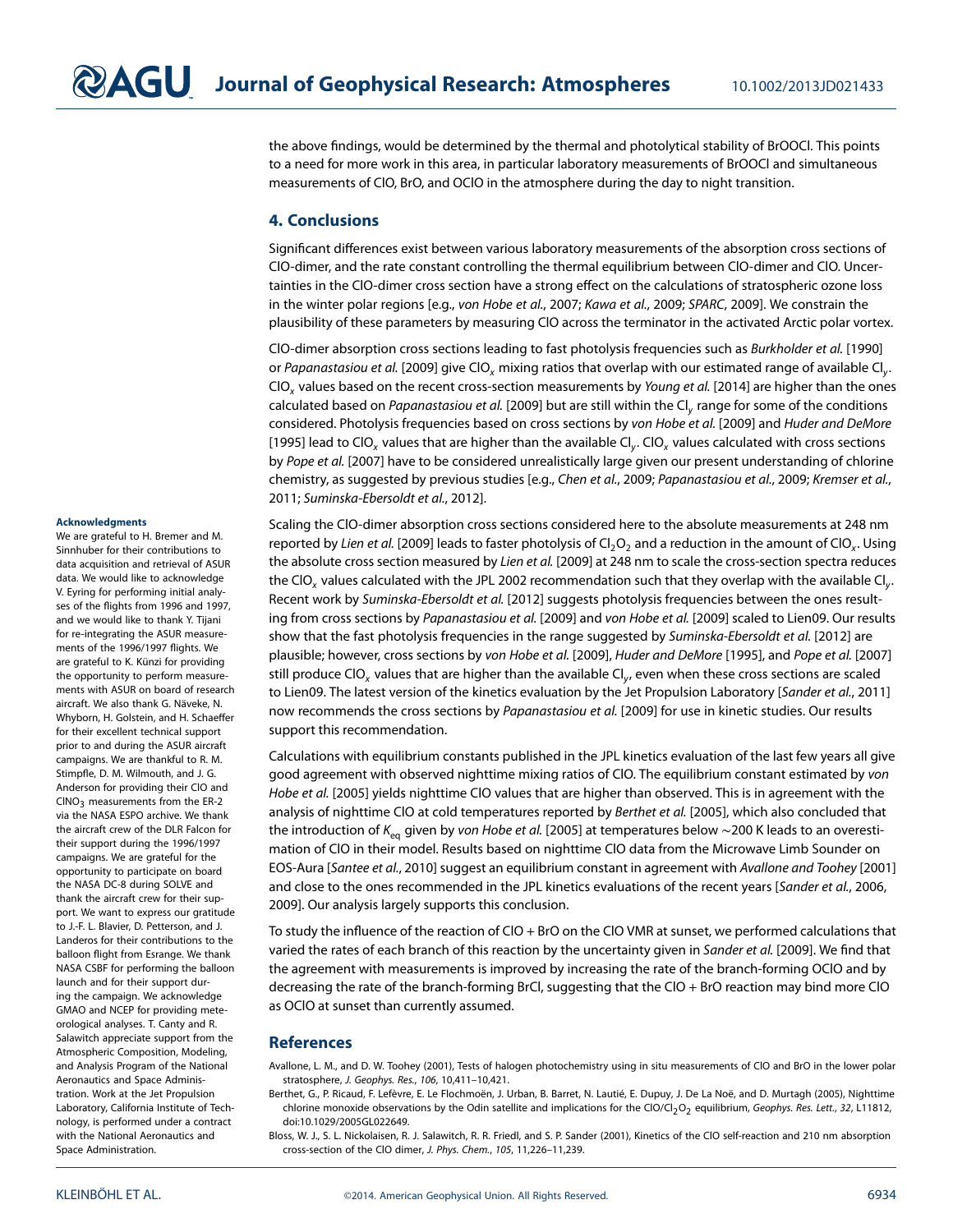the above findings, would be determined by the thermal and photolytical stability of BrOOCl. This points to a need for more work in this area, in particular laboratory measurements of BrOOCl and simultaneous measurements of ClO, BrO, and OClO in the atmosphere during the day to night transition.

#### <span id="page-18-0"></span>**4. Conclusions**

Significant differences exist between various laboratory measurements of the absorption cross sections of ClO-dimer, and the rate constant controlling the thermal equilibrium between ClO-dimer and ClO. Uncertainties in the ClO-dimer cross section have a strong effect on the calculations of stratospheric ozone loss in the winter polar regions [e.g., von Hobe et al., 2007; Kawa et al., 2009; SPARC, 2009]. We constrain the plausibility of these parameters by measuring ClO across the terminator in the activated Arctic polar vortex.

ClO-dimer absorption cross sections leading to fast photolysis frequencies such as Burkholder et al. [1990] or Papanastasiou et al. [2009] give ClO<sub>y</sub> mixing ratios that overlap with our estimated range of available Cl<sub>y</sub>.  $ClO<sub>x</sub>$  values based on the recent cross-section measurements by Young et al. [2014] are higher than the ones calculated based on Papanastasiou et al. [2009] but are still within the Cl<sub>y</sub> range for some of the conditions considered. Photolysis frequencies based on cross sections by von Hobe et al. [2009] and Huder and DeMore [1995] lead to ClO<sub>y</sub> values that are higher than the available Cl<sub>y</sub>. ClO<sub>y</sub> values calculated with cross sections by Pope et al. [2007] have to be considered unrealistically large given our present understanding of chlorine chemistry, as suggested by previous studies [e.g., Chen et al., 2009; Papanastasiou et al., 2009; Kremser et al., 2011; Suminska-Ebersoldt et al., 2012].

Scaling the ClO-dimer absorption cross sections considered here to the absolute measurements at 248 nm reported by Lien et al. [2009] leads to faster photolysis of  $Cl_2O_2$  and a reduction in the amount of ClO<sub>x</sub>. Using the absolute cross section measured by Lien et al. [2009] at 248 nm to scale the cross-section spectra reduces the ClO<sub>x</sub> values calculated with the JPL 2002 recommendation such that they overlap with the available Cl<sub>y</sub>. Recent work by Suminska-Ebersoldt et al. [2012] suggests photolysis frequencies between the ones resulting from cross sections by Papanastasiou et al. [2009] and von Hobe et al. [2009] scaled to Lien09. Our results show that the fast photolysis frequencies in the range suggested by Suminska-Ebersoldt et al. [2012] are plausible; however, cross sections by von Hobe et al. [2009], Huder and DeMore [1995], and Pope et al. [2007] still produce ClO<sub>x</sub> values that are higher than the available Cl<sub>y</sub>, even when these cross sections are scaled to Lien09. The latest version of the kinetics evaluation by the Jet Propulsion Laboratory [Sander et al., 2011] now recommends the cross sections by Papanastasiou et al. [2009] for use in kinetic studies. Our results support this recommendation.

Calculations with equilibrium constants published in the JPL kinetics evaluation of the last few years all give good agreement with observed nighttime mixing ratios of ClO. The equilibrium constant estimated by von Hobe et al. [2005] yields nighttime ClO values that are higher than observed. This is in agreement with the analysis of nighttime CIO at cold temperatures reported by Berthet et al. [2005], which also concluded that the introduction of K<sub>eq</sub> given by von Hobe et al. [2005] at temperatures below ∼200 K leads to an overestimation of ClO in their model. Results based on nighttime ClO data from the Microwave Limb Sounder on EOS-Aura [Santee et al., 2010] suggest an equilibrium constant in agreement with Avallone and Toohey [2001] and close to the ones recommended in the JPL kinetics evaluations of the recent years [Sander et al., 2006, 2009]. Our analysis largely supports this conclusion.

To study the influence of the reaction of ClO + BrO on the ClO VMR at sunset, we performed calculations that varied the rates of each branch of this reaction by the uncertainty given in Sander et al. [2009]. We find that the agreement with measurements is improved by increasing the rate of the branch-forming OClO and by decreasing the rate of the branch-forming BrCl, suggesting that the ClO + BrO reaction may bind more ClO as OClO at sunset than currently assumed.

#### **References**

Avallone, L. M., and D. W. Toohey (2001), Tests of halogen photochemistry using in situ measurements of ClO and BrO in the lower polar stratosphere, J. Geophys. Res., 106, 10,411–10,421.

Berthet, G., P. Ricaud, F. Lefèvre, E. Le Flochmoën, J. Urban, B. Barret, N. Lautié, E. Dupuy, J. De La Noë, and D. Murtagh (2005), Nighttime chlorine monoxide observations by the Odin satellite and implications for the ClO/Cl<sub>2</sub>O<sub>2</sub> equilibrium, Geophys. Res. Lett., 32, L11812, doi[:10.1029/2005GL022649.](http://dx.doi.org/10.1029/2005GL022649)

Bloss, W. J., S. L. Nickolaisen, R. J. Salawitch, R. R. Friedl, and S. P. Sander (2001), Kinetics of the ClO self-reaction and 210 nm absorption cross-section of the ClO dimer, J. Phys. Chem., 105, 11,226–11,239.

#### **Acknowledgments**

We are grateful to H. Bremer and M. Sinnhuber for their contributions to data acquisition and retrieval of ASUR data. We would like to acknowledge V. Eyring for performing initial analyses of the flights from 1996 and 1997, and we would like to thank Y. Tijani for re-integrating the ASUR measurements of the 1996/1997 flights. We are grateful to K. Künzi for providing the opportunity to perform measurements with ASUR on board of research aircraft. We also thank G. Näveke, N. Whyborn, H. Golstein, and H. Schaeffer for their excellent technical support prior to and during the ASUR aircraft campaigns. We are thankful to R. M. Stimpfle, D. M. Wilmouth, and J. G. Anderson for providing their ClO and  $CINO<sub>3</sub>$  measurements from the ER-2 via the NASA ESPO archive. We thank the aircraft crew of the DLR Falcon for their support during the 1996/1997 campaigns. We are grateful for the opportunity to participate on board the NASA DC-8 during SOLVE and thank the aircraft crew for their support. We want to express our gratitude to J.-F. L. Blavier, D. Petterson, and J. Landeros for their contributions to the balloon flight from Esrange. We thank NASA CSBF for performing the balloon launch and for their support during the campaign. We acknowledge GMAO and NCEP for providing meteorological analyses. T. Canty and R. Salawitch appreciate support from the Atmospheric Composition, Modeling, and Analysis Program of the National Aeronautics and Space Administration. Work at the Jet Propulsion Laboratory, California Institute of Technology, is performed under a contract with the National Aeronautics and Space Administration.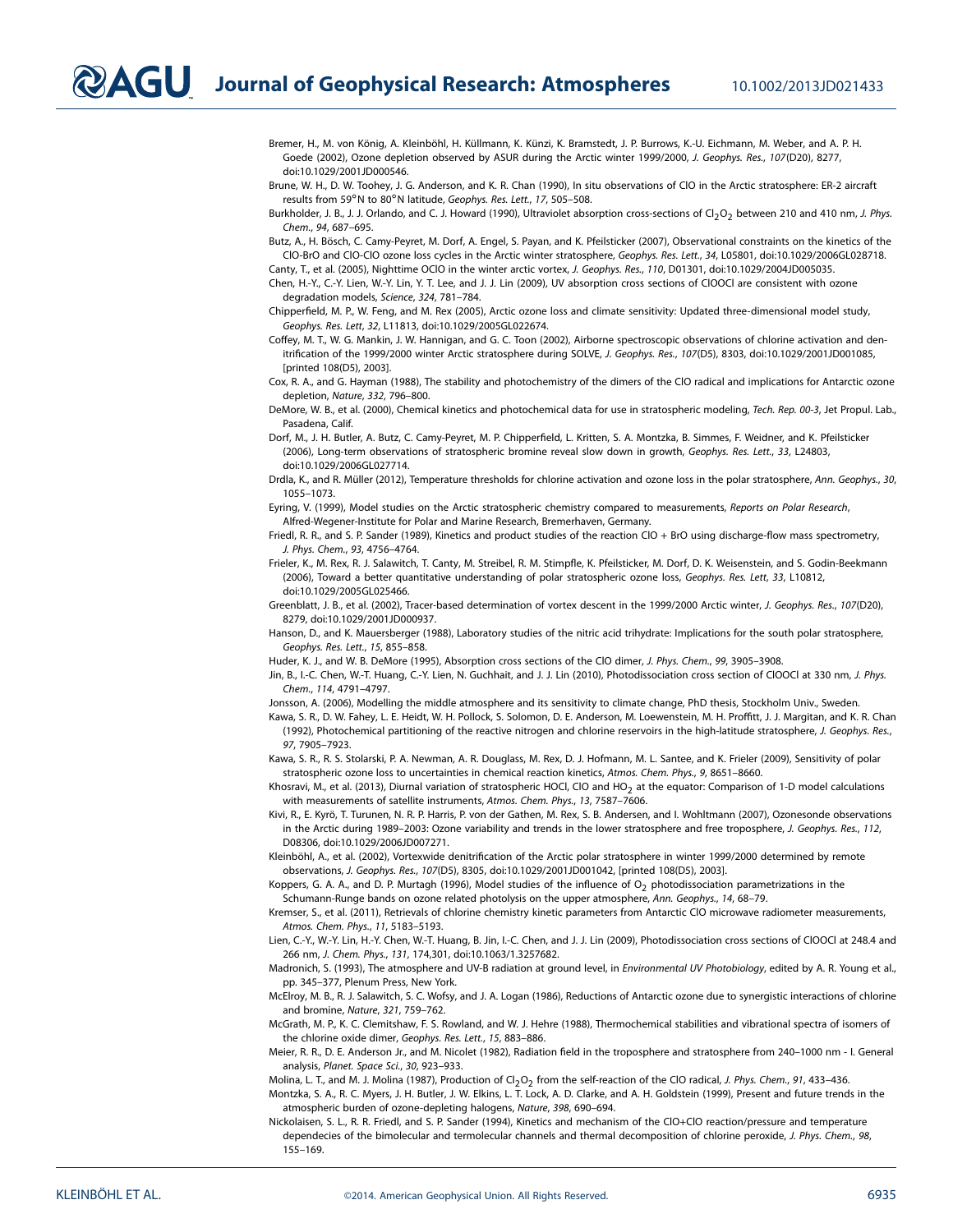Bremer, H., M. von König, A. Kleinböhl, H. Küllmann, K. Künzi, K. Bramstedt, J. P. Burrows, K.-U. Eichmann, M. Weber, and A. P. H. Goede (2002), Ozone depletion observed by ASUR during the Arctic winter 1999/2000, J. Geophys. Res., 107(D20), 8277, doi[:10.1029/2001JD000546.](http://dx.doi.org/10.1029/2001JD000546)

Brune, W. H., D. W. Toohey, J. G. Anderson, and K. R. Chan (1990), In situ observations of ClO in the Arctic stratosphere: ER-2 aircraft results from 59◦N to 80◦N latitude, Geophys. Res. Lett., 17, 505–508.

Burkholder, J. B., J. J. Orlando, and C. J. Howard (1990), Ultraviolet absorption cross-sections of Cl<sub>2</sub>O<sub>2</sub> between 210 and 410 nm, J. Phys. Chem., 94, 687–695.

Butz, A., H. Bösch, C. Camy-Peyret, M. Dorf, A. Engel, S. Payan, and K. Pfeilsticker (2007), Observational constraints on the kinetics of the ClO-BrO and ClO-ClO ozone loss cycles in the Arctic winter stratosphere, Geophys. Res. Lett., 34, L05801, doi[:10.1029/2006GL028718.](http://dx.doi.org/10.1029/2006GL028718)

Canty, T., et al. (2005), Nighttime OClO in the winter arctic vortex, J. Geophys. Res., 110, D01301, doi[:10.1029/2004JD005035.](http://dx.doi.org/10.1029/2004JD005035) Chen, H.-Y., C.-Y. Lien, W.-Y. Lin, Y. T. Lee, and J. J. Lin (2009), UV absorption cross sections of ClOOCl are consistent with ozone degradation models, Science, 324, 781–784.

Chipperfield, M. P., W. Feng, and M. Rex (2005), Arctic ozone loss and climate sensitivity: Updated three-dimensional model study, Geophys. Res. Lett, 32, L11813, doi[:10.1029/2005GL022674.](http://dx.doi.org/10.1029/2005GL022674)

Coffey, M. T., W. G. Mankin, J. W. Hannigan, and G. C. Toon (2002), Airborne spectroscopic observations of chlorine activation and den-itrification of the 1999/2000 winter Arctic stratosphere during SOLVE, J. Geophys. Res., 107(D5), 8303, doi[:10.1029/2001JD001085,](http://dx.doi.org/10.1029/2001JD001085) [printed 108(D5), 2003].

Cox, R. A., and G. Hayman (1988), The stability and photochemistry of the dimers of the ClO radical and implications for Antarctic ozone depletion, Nature, 332, 796–800.

DeMore, W. B., et al. (2000), Chemical kinetics and photochemical data for use in stratospheric modeling, Tech. Rep. 00-3, Jet Propul. Lab., Pasadena, Calif.

- Dorf, M., J. H. Butler, A. Butz, C. Camy-Peyret, M. P. Chipperfield, L. Kritten, S. A. Montzka, B. Simmes, F. Weidner, and K. Pfeilsticker (2006), Long-term observations of stratospheric bromine reveal slow down in growth, Geophys. Res. Lett., 33, L24803, doi[:10.1029/2006GL027714.](http://dx.doi.org/10.1029/2006GL027714)
- Drdla, K., and R. Müller (2012), Temperature thresholds for chlorine activation and ozone loss in the polar stratosphere, Ann. Geophys., 30, 1055–1073.
- Eyring, V. (1999), Model studies on the Arctic stratospheric chemistry compared to measurements, Reports on Polar Research, Alfred-Wegener-Institute for Polar and Marine Research, Bremerhaven, Germany.

Friedl, R. R., and S. P. Sander (1989), Kinetics and product studies of the reaction ClO + BrO using discharge-flow mass spectrometry, J. Phys. Chem., 93, 4756–4764.

Frieler, K., M. Rex, R. J. Salawitch, T. Canty, M. Streibel, R. M. Stimpfle, K. Pfeilsticker, M. Dorf, D. K. Weisenstein, and S. Godin-Beekmann (2006), Toward a better quantitative understanding of polar stratospheric ozone loss, Geophys. Res. Lett, 33, L10812, doi[:10.1029/2005GL025466.](http://dx.doi.org/10.1029/2005GL025466)

Greenblatt, J. B., et al. (2002), Tracer-based determination of vortex descent in the 1999/2000 Arctic winter, J. Geophys. Res., 107(D20), 8279, doi[:10.1029/2001JD000937.](http://dx.doi.org/10.1029/2001JD000937)

Hanson, D., and K. Mauersberger (1988), Laboratory studies of the nitric acid trihydrate: Implications for the south polar stratosphere, Geophys. Res. Lett., 15, 855–858.

Huder, K. J., and W. B. DeMore (1995), Absorption cross sections of the ClO dimer, J. Phys. Chem., 99, 3905–3908.

Jin, B., I.-C. Chen, W.-T. Huang, C.-Y. Lien, N. Guchhait, and J. J. Lin (2010), Photodissociation cross section of ClOOCl at 330 nm, J. Phys. Chem., 114, 4791–4797.

Jonsson, A. (2006), Modelling the middle atmosphere and its sensitivity to climate change, PhD thesis, Stockholm Univ., Sweden.

- Kawa, S. R., D. W. Fahey, L. E. Heidt, W. H. Pollock, S. Solomon, D. E. Anderson, M. Loewenstein, M. H. Proffitt, J. J. Margitan, and K. R. Chan (1992), Photochemical partitioning of the reactive nitrogen and chlorine reservoirs in the high-latitude stratosphere, J. Geophys. Res., 97, 7905–7923.
- Kawa, S. R., R. S. Stolarski, P. A. Newman, A. R. Douglass, M. Rex, D. J. Hofmann, M. L. Santee, and K. Frieler (2009), Sensitivity of polar stratospheric ozone loss to uncertainties in chemical reaction kinetics, Atmos. Chem. Phys., 9, 8651–8660.

Khosravi, M., et al. (2013), Diurnal variation of stratospheric HOCl, ClO and HO<sub>2</sub> at the equator: Comparison of 1-D model calculations with measurements of satellite instruments, Atmos. Chem. Phys., 13, 7587–7606.

Kivi, R., E. Kyrö, T. Turunen, N. R. P. Harris, P. von der Gathen, M. Rex, S. B. Andersen, and I. Wohltmann (2007), Ozonesonde observations in the Arctic during 1989-2003: Ozone variability and trends in the lower stratosphere and free troposphere, J. Geophys. Res., 112, D08306, doi[:10.1029/2006JD007271.](http://dx.doi.org/10.1029/2006JD007271)

Kleinböhl, A., et al. (2002), Vortexwide denitrification of the Arctic polar stratosphere in winter 1999/2000 determined by remote observations, J. Geophys. Res., 107(D5), 8305, doi[:10.1029/2001JD001042,](http://dx.doi.org/10.1029/2001JD001042) [printed 108(D5), 2003].

Koppers, G. A. A., and D. P. Murtagh (1996), Model studies of the influence of  $O_2$  photodissociation parametrizations in the Schumann-Runge bands on ozone related photolysis on the upper atmosphere, Ann. Geophys., 14, 68–79.

Kremser, S., et al. (2011), Retrievals of chlorine chemistry kinetic parameters from Antarctic ClO microwave radiometer measurements, Atmos. Chem. Phys., 11, 5183–5193.

Lien, C.-Y., W.-Y. Lin, H.-Y. Chen, W.-T. Huang, B. Jin, I.-C. Chen, and J. J. Lin (2009), Photodissociation cross sections of ClOOCl at 248.4 and 266 nm, J. Chem. Phys., 131, 174,301, do[i:10.1063/1.3257682.](http://dx.doi.org/10.1063/1.3257682)

Madronich, S. (1993), The atmosphere and UV-B radiation at ground level, in Environmental UV Photobiology, edited by A. R. Young et al., pp. 345–377, Plenum Press, New York.

McElroy, M. B., R. J. Salawitch, S. C. Wofsy, and J. A. Logan (1986), Reductions of Antarctic ozone due to synergistic interactions of chlorine and bromine, Nature, 321, 759–762.

McGrath, M. P., K. C. Clemitshaw, F. S. Rowland, and W. J. Hehre (1988), Thermochemical stabilities and vibrational spectra of isomers of the chlorine oxide dimer, Geophys. Res. Lett., 15, 883–886.

Meier, R. R., D. E. Anderson Jr., and M. Nicolet (1982), Radiation field in the troposphere and stratosphere from 240–1000 nm - I. General analysis, Planet. Space Sci., 30, 923–933.

Molina, L. T., and M. J. Molina (1987), Production of Cl<sub>2</sub>O<sub>2</sub> from the self-reaction of the ClO radical, J. Phys. Chem., 91, 433-436.

Montzka, S. A., R. C. Myers, J. H. Butler, J. W. Elkins, L. T. Lock, A. D. Clarke, and A. H. Goldstein (1999), Present and future trends in the atmospheric burden of ozone-depleting halogens, Nature, 398, 690–694.

Nickolaisen, S. L., R. R. Friedl, and S. P. Sander (1994), Kinetics and mechanism of the ClO+ClO reaction/pressure and temperature dependecies of the bimolecular and termolecular channels and thermal decomposition of chlorine peroxide, J. Phys. Chem., 98, 155–169.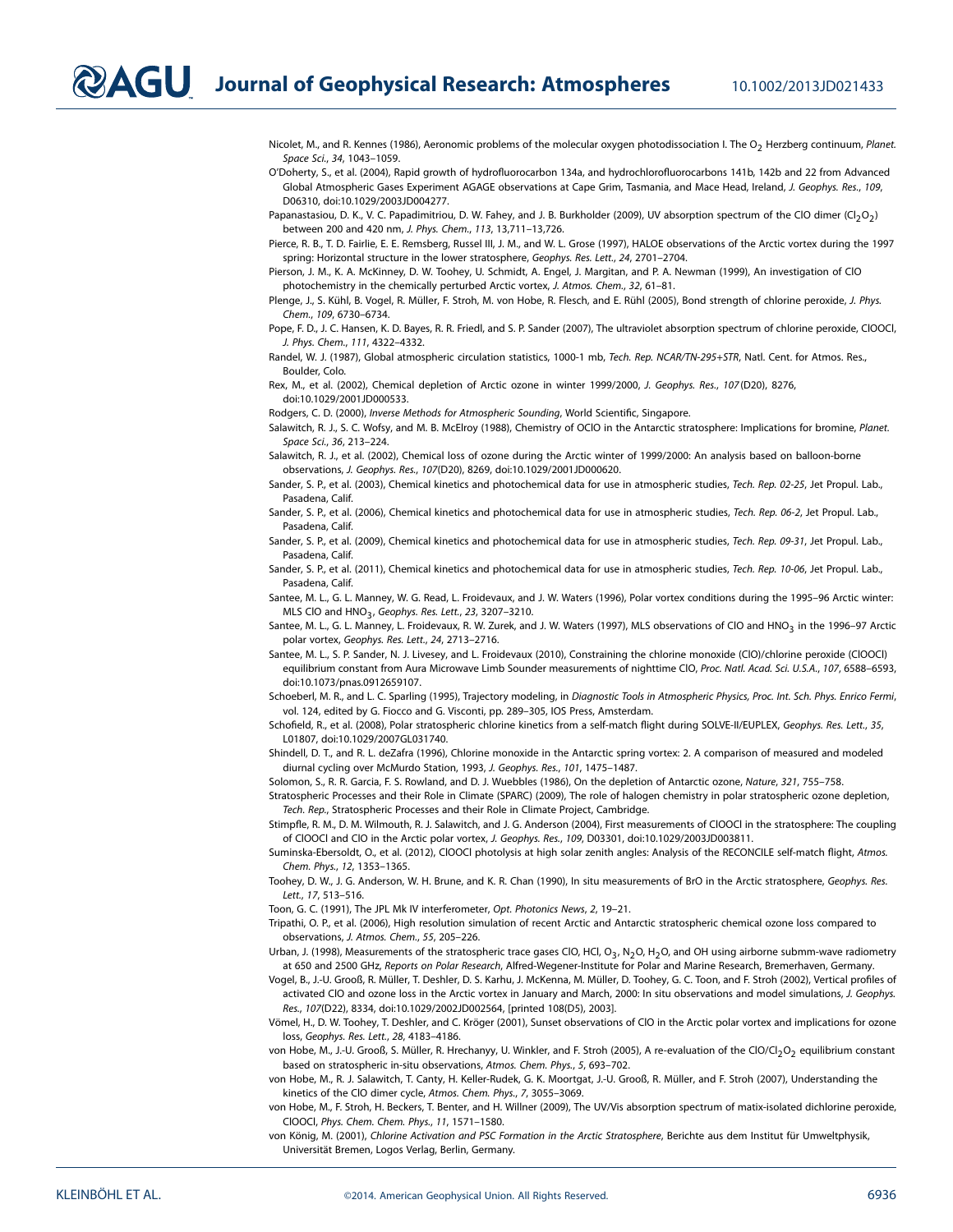**DAGU** Journal of Geophysical Research: Atmospheres 10.1002/2013JD021433

Nicolet, M., and R. Kennes (1986), Aeronomic problems of the molecular oxygen photodissociation I. The O<sub>2</sub> Herzberg continuum, Planet. Space Sci., 34, 1043–1059.

O'Doherty, S., et al. (2004), Rapid growth of hydrofluorocarbon 134a, and hydrochlorofluorocarbons 141b, 142b and 22 from Advanced Global Atmospheric Gases Experiment AGAGE observations at Cape Grim, Tasmania, and Mace Head, Ireland, J. Geophys. Res., 109, D06310, doi[:10.1029/2003JD004277.](http://dx.doi.org/10.1029/2003JD004277)

Papanastasiou, D. K., V. C. Papadimitriou, D. W. Fahey, and J. B. Burkholder (2009), UV absorption spectrum of the ClO dimer (Cl<sub>2</sub>O<sub>2</sub>) between 200 and 420 nm, J. Phys. Chem., 113, 13,711–13,726.

Pierce, R. B., T. D. Fairlie, E. E. Remsberg, Russel III, J. M., and W. L. Grose (1997), HALOE observations of the Arctic vortex during the 1997 spring: Horizontal structure in the lower stratosphere, Geophys. Res. Lett., 24, 2701–2704.

Pierson, J. M., K. A. McKinney, D. W. Toohey, U. Schmidt, A. Engel, J. Margitan, and P. A. Newman (1999), An investigation of ClO photochemistry in the chemically perturbed Arctic vortex, J. Atmos. Chem., 32, 61-81.

Plenge, J., S. Kühl, B. Vogel, R. Müller, F. Stroh, M. von Hobe, R. Flesch, and E. Rühl (2005), Bond strength of chlorine peroxide, J. Phys. Chem., 109, 6730–6734.

Pope, F. D., J. C. Hansen, K. D. Bayes, R. R. Friedl, and S. P. Sander (2007), The ultraviolet absorption spectrum of chlorine peroxide, ClOOCl, J. Phys. Chem., 111, 4322–4332.

Randel, W. J. (1987), Global atmospheric circulation statistics, 1000-1 mb, Tech. Rep. NCAR/TN-295+STR, Natl. Cent. for Atmos. Res., Boulder, Colo.

Rex, M., et al. (2002), Chemical depletion of Arctic ozone in winter 1999/2000, J. Geophys. Res., 107 (D20), 8276, doi[:10.1029/2001JD000533.](http://dx.doi.org/10.1029/2001JD000533)

Rodgers, C. D. (2000), Inverse Methods for Atmospheric Sounding, World Scientific, Singapore.

Salawitch, R. J., S. C. Wofsy, and M. B. McElroy (1988), Chemistry of OCIO in the Antarctic stratosphere: Implications for bromine, Planet. Space Sci., 36, 213–224.

Salawitch, R. J., et al. (2002), Chemical loss of ozone during the Arctic winter of 1999/2000: An analysis based on balloon-borne observations, J. Geophys. Res., 107(D20), 8269, doi[:10.1029/2001JD000620.](http://dx.doi.org/10.1029/2001JD000620)

Sander, S. P., et al. (2003), Chemical kinetics and photochemical data for use in atmospheric studies, Tech. Rep. 02-25, Jet Propul. Lab., Pasadena, Calif.

Sander, S. P., et al. (2006), Chemical kinetics and photochemical data for use in atmospheric studies, Tech. Rep. 06-2, Jet Propul. Lab., Pasadena, Calif.

Sander, S. P., et al. (2009), Chemical kinetics and photochemical data for use in atmospheric studies, Tech. Rep. 09-31, Jet Propul. Lab., Pasadena, Calif.

Sander, S. P., et al. (2011), Chemical kinetics and photochemical data for use in atmospheric studies, Tech. Rep. 10-06, Jet Propul. Lab., Pasadena, Calif.

Santee, M. L., G. L. Manney, W. G. Read, L. Froidevaux, and J. W. Waters (1996), Polar vortex conditions during the 1995–96 Arctic winter: MLS CIO and HNO<sub>3</sub>, Geophys. Res. Lett., 23, 3207-3210.

Santee, M. L., G. L. Manney, L. Froidevaux, R. W. Zurek, and J. W. Waters (1997), MLS observations of CIO and HNO<sub>3</sub> in the 1996–97 Arctic polar vortex, Geophys. Res. Lett., 24, 2713–2716.

Santee, M. L., S. P. Sander, N. J. Livesey, and L. Froidevaux (2010), Constraining the chlorine monoxide (ClO)/chlorine peroxide (ClOOCl) equilibrium constant from Aura Microwave Limb Sounder measurements of nighttime CIO, Proc. Natl. Acad. Sci. U.S.A., 107, 6588-6593, doi[:10.1073/pnas.0912659107.](http://dx.doi.org/10.1073/pnas.0912659107)

Schoeberl, M. R., and L. C. Sparling (1995), Trajectory modeling, in Diagnostic Tools in Atmospheric Physics, Proc. Int. Sch. Phys. Enrico Fermi, vol. 124, edited by G. Fiocco and G. Visconti, pp. 289–305, IOS Press, Amsterdam.

Schofield, R., et al. (2008), Polar stratospheric chlorine kinetics from a self-match flight during SOLVE-II/EUPLEX, Geophys. Res. Lett., 35, L01807, doi[:10.1029/2007GL031740.](http://dx.doi.org/10.1029/2007GL031740)

Shindell, D. T., and R. L. deZafra (1996), Chlorine monoxide in the Antarctic spring vortex: 2. A comparison of measured and modeled diurnal cycling over McMurdo Station, 1993, J. Geophys. Res., 101, 1475–1487.

Solomon, S., R. R. Garcia, F. S. Rowland, and D. J. Wuebbles (1986), On the depletion of Antarctic ozone, Nature, 321, 755–758.

Stratospheric Processes and their Role in Climate (SPARC) (2009), The role of halogen chemistry in polar stratospheric ozone depletion, Tech. Rep., Stratospheric Processes and their Role in Climate Project, Cambridge.

Stimpfle, R. M., D. M. Wilmouth, R. J. Salawitch, and J. G. Anderson (2004), First measurements of ClOOCl in the stratosphere: The coupling of ClOOCl and ClO in the Arctic polar vortex, J. Geophys. Res., 109, D03301, doi[:10.1029/2003JD003811.](http://dx.doi.org/10.1029/2003JD003811)

Suminska-Ebersoldt, O., et al. (2012), ClOOCl photolysis at high solar zenith angles: Analysis of the RECONCILE self-match flight, Atmos. Chem. Phys., 12, 1353–1365.

Toohey, D. W., J. G. Anderson, W. H. Brune, and K. R. Chan (1990), In situ measurements of BrO in the Arctic stratosphere, Geophys. Res. Lett., 17, 513–516.

Toon, G. C. (1991), The JPL Mk IV interferometer, Opt. Photonics News, 2, 19–21.

Tripathi, O. P., et al. (2006), High resolution simulation of recent Arctic and Antarctic stratospheric chemical ozone loss compared to observations, J. Atmos. Chem., 55, 205–226.

Urban, J. (1998), Measurements of the stratospheric trace gases CIO, HCl, O<sub>3</sub>, N<sub>2</sub>O, H<sub>2</sub>O, and OH using airborne submm-wave radiometry at 650 and 2500 GHz, Reports on Polar Research, Alfred-Wegener-Institute for Polar and Marine Research, Bremerhaven, Germany.

Vogel, B., J.-U. Grooß, R. Müller, T. Deshler, D. S. Karhu, J. McKenna, M. Müller, D. Toohey, G. C. Toon, and F. Stroh (2002), Vertical profiles of activated CIO and ozone loss in the Arctic vortex in January and March, 2000: In situ observations and model simulations, J. Geophys. Res., 107(D22), 8334, do[i:10.1029/2002JD002564,](http://dx.doi.org/10.1029/2002JD002564) [printed 108(D5), 2003].

Vömel, H., D. W. Toohey, T. Deshler, and C. Kröger (2001), Sunset observations of ClO in the Arctic polar vortex and implications for ozone loss, Geophys. Res. Lett., 28, 4183–4186.

von Hobe, M., J.-U. Grooß, S. Müller, R. Hrechanyy, U. Winkler, and F. Stroh (2005), A re-evaluation of the ClO/Cl<sub>2</sub>O<sub>2</sub> equilibrium constant based on stratospheric in-situ observations, Atmos. Chem. Phys., 5, 693–702.

von Hobe, M., R. J. Salawitch, T. Canty, H. Keller-Rudek, G. K. Moortgat, J.-U. Grooß, R. Müller, and F. Stroh (2007), Understanding the kinetics of the ClO dimer cycle, Atmos. Chem. Phys., 7, 3055–3069.

von Hobe, M., F. Stroh, H. Beckers, T. Benter, and H. Willner (2009), The UV/Vis absorption spectrum of matix-isolated dichlorine peroxide, ClOOCl, Phys. Chem. Chem. Phys., 11, 1571–1580.

von König, M. (2001), Chlorine Activation and PSC Formation in the Arctic Stratosphere, Berichte aus dem Institut für Umweltphysik, Universität Bremen, Logos Verlag, Berlin, Germany.